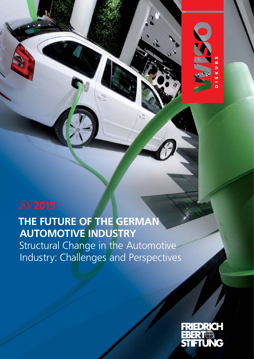# **THE FUTURE OF THE GERMAN AUTOMOTIVE INDUSTRY**

Structural Change in the Automotive Industry: Challenges and Perspectives



DISKURS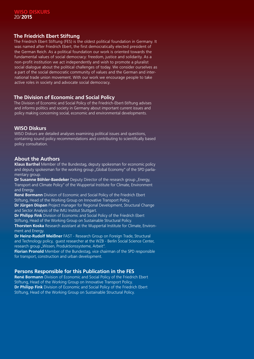## **The Friedrich Ebert Stiftung**

The Friedrich Ebert Stiftung (FES) is the oldest political foundation in Germany. It was named after Friedrich Ebert, the first democratically elected president of the German Reich. As a political foundation our work is oriented towards the fundamental values of social democracy: freedom, justice and solidarity. As a non-profit institution we act independently and wish to promote a pluralist social dialogue about the political challenges of today. We consider ourselves as a part of the social democratic community of values and the German and international trade union movement. With our work we encourage people to take active roles in society and advocate social democracy.

## **The Division of Economic and Social Policy**

The Division of Economic and Social Policy of the Friedrich-Ebert-Stiftung advises and informs politics and society in Germany about important current issues and policy making concerning social, economic and environmental developments.

## **WISO Diskurs**

WISO Diskurs are detailed analyses examining political issues and questions, containing sound policy recommendations and contributing to scientifically based policy consultation.

## **About the Authors**

**Klaus Barthel** Member of the Bundestag, deputy spokesman for economic policy and deputy spokesman for the working group "Global Economy" of the SPD parliamentary group.

**Dr Susanne Böhler-Baedeker** Deputy Director of the research group "Energy, Transport and Climate Policy" of the Wuppertal Institute for Climate, Environment and Energy.

**René Bormann** Division of Economic and Social Policy of the Friedrich Ebert Stiftung, Head of the Working Group on Innovative Transport Policy.

**Dr Jürgen Dispan** Project manager for Regional Development, Structural Change and Sector Analysis of the IMU Institut Stuttgart.

**Dr Philipp Fink** Division of Economic and Social Policy of the Friedrich Ebert Stiftung, Head of the Working Group on Sustainable Structural Policy.

**Thorsten Koska** Research assistant at the Wuppertal Institute for Climate, Environment and Energy.

**Dr Heinz-Rudolf Meißner** FAST - Research Group on Foreign Trade, Structural and Technology policy, guest researcher at the WZB - Berlin Social Science Center, research group "Wissen, Produktionssysteme, Arbeit"

**Florian Pronold** Member of the Bundestag, vice chairman of the SPD responsible for transport, construction and urban development.

## **Persons Responsible for this Publication in the FES**

**René Bormann** Division of Economic and Social Policy of the Friedrich Ebert Stiftung, Head of the Working Group on Innovative Transport Policy. **Dr Philipp Fink** Division of Economic and Social Policy of the Friedrich Ebert Stiftung, Head of the Working Group on Sustainable Structural Policy.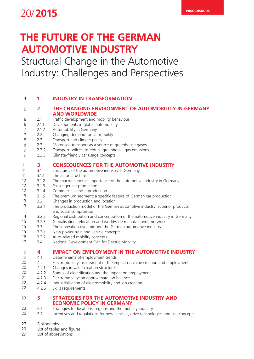## WISO DISKURS 20/**2015**

## **THE FUTURE OF THE GERMAN AUTOMOTIVE INDUSTRY**

## Structural Change in the Automotive Industry: Challenges and Perspectives

| 4              | 1              | <b>INDUSTRY IN TRANSFORMATION</b>                                                                      |
|----------------|----------------|--------------------------------------------------------------------------------------------------------|
| 6              | $\overline{2}$ | THE CHANGING ENVIRONMENT OF AUTOMOBILITY IN GERMANY<br><b>AND WORLDWIDE</b>                            |
| 6              | 2.1            | Traffic development and mobility behaviour                                                             |
| 6              | 2.1.1          | Developments in global automobility                                                                    |
| $\overline{7}$ | 2.1.2          | Automobility in Germany                                                                                |
| 7              | 2.2            | Changing demand for car mobility                                                                       |
| 8              | 2.3            | Transport and climate policy                                                                           |
| 8              | 2.3.1          | Motorised transport as a source of greenhouse gases                                                    |
| 9              | 2.3.2          | Transport policies to reduce greenhouse gas emissions                                                  |
| $\mathsf 9$    | 2.3.3          | Climate-friendly car usage concepts                                                                    |
| 11             | 3              | <b>CONSEQUENCES FOR THE AUTOMOTIVE INDUSTRY</b>                                                        |
| 11             | 3.1            | Structures of the automotive industry in Germany                                                       |
| 11             | 3.1.1          | The actor structure                                                                                    |
| 12             | 3.1.2          | The macroeconomic importance of the automotive industry in Germany                                     |
| 12             | 3.1.3          | Passenger car production                                                                               |
| 12             | 3.1.4          | Commercial vehicle production                                                                          |
| 13             | 3.1.5          | The premium segment: a specific feature of German car production                                       |
| 13             | 3.2            | Changes in production and location                                                                     |
| 13             | 3.2.1          | The production model of the German automotive industry: superior products                              |
| 14             | 3.2.2          | and social compromise<br>Regional distribution and concentration of the automotive industry in Germany |
| 15             | 3.2.3          | Globalisation, relocation and worldwide manufacturing networks                                         |
| 15             | 3.3            | The innovation dynamic and the German automotive industry                                              |
| 15             | 3.3.1          | New power-train and vehicle concepts                                                                   |
| 16             | 3.3.2          | Auto-related mobility concepts                                                                         |
| 17             | 3.4            | National Development Plan for Electric Mobility                                                        |
| 19             | 4              | <b>IMPACT ON EMPLOYMENT IN THE AUTOMOTIVE INDUSTRY</b>                                                 |
| 19             | 4.1            | Determinants of employment trends                                                                      |
| 20             | 4.2            | Electromobility: assessment of the impact on value creation and employment                             |
| 20             | 4.2.1          | Changes in value creation structures                                                                   |
| 20             | 4.2.2          | Stages of electrification and the impact on employment                                                 |
| 21             | 4.2.3          | Electromobility: an approximate job balance                                                            |
| 22             | 4.2.4          | Industrialisation of electromobility and job creation                                                  |
| 22             | 4.2.5          | Skills requirements                                                                                    |
| 23             | 5              | <b>STRATEGIES FOR THE AUTOMOTIVE INDUSTRY AND</b>                                                      |
|                |                | <b>ECONOMIC POLICY IN GERMANY</b>                                                                      |
| 23             | 5.1            | Strategies for locations, regions and the mobility industry                                            |
| 25             | 5.2            | Incentives and regulations for new vehicles, drive technologies and use concepts                       |
|                |                |                                                                                                        |

Bibliography 27

- List of tables and figures 29
- List of abbreviations 29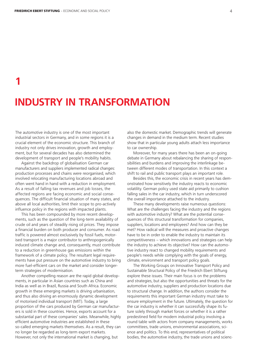# **INDUSTRY IN TRANSFORMATION 1**

The automotive industry is one of the most important industrial sectors in Germany, and in some regions it is a crucial element of the economic structure. This branch of industry not only drives innovation, growth and employment, but for several decades has also determined the development of transport and people's mobility habits.

Against the backdrop of globalisation German car manufacturers and suppliers implemented radical changes: production processes and chains were reorganised, which involved relocating manufacturing locations abroad and often went hand in hand with a reduction in employment. As a result of falling tax revenues and job losses, the affected regions are facing economic and social consequences. The difficult financial situation of many states, and above all local authorities, limit their scope to pro-actively influence policy in the regions with impacted plants.

This has been compounded by more recent developments, such as the question of the long-term availability of crude oil and years of steadily rising oil prices. They impose a financial burden on both producer and consumer. As road traffic is powered almost exclusively by fossil fuels, motorised transport is a major contributor to anthropogenically induced climate change and, consequently, must contribute to a reduction in greenhouse gas emissions within the framework of a climate policy. The resultant legal requirements have put pressure on the automotive industry to bring more fuel-efficient cars on the market and consider longerterm strategies of modernisation.

Another compelling reason are the rapid global developments, in particular in Asian countries such as China and India as well as in Brazil, Russia and South Africa. Economic growth in these emerging markets is driving urbanisation, and thus also driving an enormously dynamic development of motorised individual transport (MIT). Today, a large proportion of the cars produced by German car manufacturers is sold in these countries. Hence, exports account for a substantial part of these companies' sales. Meanwhile, highly efficient automotive industries are established in these so-called emerging markets themselves. As a result, they can no longer be regarded as long-term export markets. However, not only the international market is changing, but

also the domestic market. Demographic trends will generate changes in demand in the medium term. Recent studies show that in particular young adults attach less importance to car ownership.

Moreover, for many years there has been an on-going debate in Germany about rebalancing the sharing of responsibilities and burdens and improving the interlinkage between different modes of transportation. In this context a shift to rail and public transport plays an important role.

Besides this, the economic crisis in recent years has demonstrated how sensitively the industry reacts to economic volatility. German policy used state aid primarily to cushion falling sales in the car industry, which in turn underscored the overall importance attached to the industry.

These many developments raise numerous questions: What are the challenges facing the industry and the regions with automotive industry? What are the potential consequences of this structural transformation for companies, suppliers, locations and employees? And how can they be met? How radical will the measures and proactive changes have to be in order to enable the industry to maintain its competitiveness – which innovations and strategies can help the industry to achieve its objective? How can the automotive industry react to changed mobility requirements and people's needs while complying with the goals of energy, climate, environment and transport policy goals.

The Working Groups on Innovative Transport Policy and Sustainable Structural Policy of the Friedrich Ebert Stiftung explore these issues. Their main focus is on the problems and strategies, but also the opportunities and threats for the automotive industry, suppliers and production locations due to structural change. In addition, the authors consider the requirements this important German industry must take to ensure employment in the future. Ultimately, the question for the car industry is whether it can successfully shape its future solely through market forces or whether it is a rather predestined field for modern industrial policy involving a round table with actors from company managements, works committees, trade unions, environmental associations, science and politics. To this end, representatives of political bodies, the automotive industry, the trade unions and scienc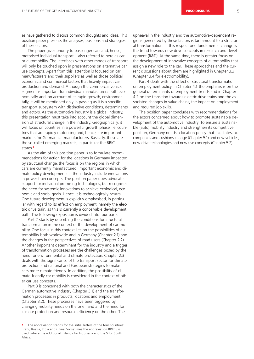es have gathered to discuss common thoughts and ideas. This position paper presents the analyses, positions and strategies of these actors.

The paper gives priority to passenger cars and, hence, motorised individual transport – also referred to here as car or automobility. The interfaces with other modes of transport will only be touched upon in presentations on alternative car use concepts. Apart from this, attention is focused on car manufacturers and their suppliers as well as those political, economic and commercial factors that heavily impact car production and demand. Although the commercial vehicle segment is important for individual manufacturers both economically and, on account of its rapid growth, environmentally, it will be mentioned only in passing as it is a specific transport subsystem with distinctive conditions, determinants and actors. As the automotive industry is a global industry, this presentation must take into account the global dimension of structural change in the industry. Geographically, it will focus on countries in a powerful growth phase, i.e. countries that are rapidly motorising and, hence, are important markets for German car manufacturers. Basically, these are the so-called emerging markets, in particular the BRIC states<sup>1</sup>

As the aim of this position paper is to formulate recommendations for action for the locations in Germany impacted by structural change, the focus is on the regions in which cars are currently manufactured. Important economic and climate policy developments in the industry include innovations in power-train concepts. The position paper does advocate support for individual promising technologies, but recognises the need for systemic innovations to achieve ecological, economic and social goals. Hence, it is technologically neutral. One future development is explicitly emphasised, in particular with regard to its effect on employment, namely the electric drive train, as this is currently a conceivable development path. The following exposition is divided into four parts.

Part 2 starts by describing the conditions for structural transformation in the context of the development of car mobility. One focus in this context lies on the possibilities of automobility both worldwide and in Germany (Chapter 2.1) and the changes in the perspectives of road users (Chapter 2.2). Another important determinant for the industry and a trigger of transformation processes are the challenges posed by the need for environmental and climate protection. Chapter 2.3 deals with the significance of the transport sector for climate protection and national and European strategies to make cars more climate friendly. In addition, the possibility of climate-friendly car mobility is considered in the context of other car use concepts.

Part 3 is concerned with both the characteristics of the German automotive industry (Chapter 3.1) and the transformation processes in products, locations and employment (Chapter 3.2). These processes have been triggered by changing mobility needs on the one hand and the need for climate protection and resource efficiency on the other. The upheaval in the industry and the automotive-dependent regions generated by these factors is tantamount to a structural transformation. In this respect one fundamental change is the trend towards new drive concepts in research and development (R&D). At the same time, there is greater focus on the development of innovative concepts of automobility that assign a new role to the car. These approaches and the current discussions about them are highlighted in Chapter 3.3 (Chapter 3.4 for electromobility).

Part 4 deals with the effect of structural transformation on employment policy. In Chapter 4.1 the emphasis is on the general determinants of employment trends and in Chapter 4.2 on the transition towards electric drive trains and the associated changes in value chains, the impact on employment and required job skills.

The position paper concludes with recommendations for the actors concerned about how to promote sustainable development of the automotive industry. To ensure a sustainable (auto) mobility industry and strengthen its competitive position, Germany needs a location policy that facilitates, accompanies and cushions change (Chapter 5.1) and new vehicles, new drive technologies and new use concepts (Chapter 5.2).

The abbreviation stands for the initial letters of the four countries: Brazil, Russia, India and China. Sometimes the abbreviation BRIICS is used, where the additional I stands for Indonesia and the S for South Africa.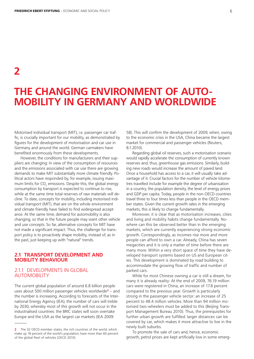**2**

## **THE CHANGING ENVIRONMENT OF AUTO-MOBILITY IN GERMANY AND WORLDWIDE**

Motorised individual transport (MIT), i.e. passenger car traffic, is crucially important for our mobility, as demonstrated by figures for the development of motorisation and car use in Germany and around the world. German carmakers have benefited enormously from these developments.

However, the conditions for manufacturers and their suppliers are changing: In view of the consumption of resources and the emissions associated with car use there are growing demands to make MIT substantially more climate friendly. Political actors have responded by, for example, issuing maximum limits for CO $_{\textrm{\tiny{2}}}$  emissions. Despite this, the global energy consumption by transport is expected to continue to rise, while at the same time total reserves of raw materials will decline. To date, concepts for mobility, including motorised individual transport (MIT), that are on the whole environment and climate friendly have failed to find widespread acceptance. At the same time, demand for automobility is also changing, so that in the future people may want other vehicle and use concepts. So far, alternative concepts for MIT have not made a significant impact. Thus, the challenge for transport policy is to proactively shape mobility, instead of, as in the past, just keeping up with "natural" trends.

## **2.1 TRANSPORT DEVELOPMENT AND MOBILITY BEHAVIOUR**

## 2.1.1DEVELOPMENTS IN GLOBAL AUTOMOBILITY

The current global population of around 6.8 billion people uses about 500 million passenger vehicles worldwide<sup>2</sup> - and the number is increasing. According to forecasts of the International Energy Agency (IEA), the number of cars will treble by 2030, whereby most of this growth will not occur in the industrialised countries: the BRIC states will soon overtake Europe and the USA as the largest car markets (IEA 2009:

58). This will confirm the development of 2009, when, owing to the economic crisis in the USA, China became the largest market for commercial and passenger vehicles (Reuters, 8.1.2010).

Regarding global oil reserves, such a motorisation scenario would rapidly accelerate the consumption of currently known reserves and, thus, greenhouse gas emissions. Similarly, building new roads would increase the amount of paved land. Once a household has access to a car, it will usually take advantage of it. Crucial factors for the number of vehicle kilometres travelled include for example the degree of urbanisation in a country, the population density, the level of energy prices and GDP per capita. Today, people in the non-OECD countries travel three to four times less than people in the OECD member states. Given the current growth rates in the emerging markets, this is likely to change fundamentally.

Moreover, it is clear that as motorisation increases, cities and living and mobility habits change fundamentally. Nowhere can this be observed better than in the emerging markets, which are currently experiencing strong economic growth. Correspondingly, as incomes rise more and more people can afford to own a car. Already, China has seven megacities and it is only a matter of time before there are many more. Within a very short space of time they have developed transport systems based on US and European cities. This development is dominated by road building to accommodate the growing flow of traffic and number of parked cars.

While for most Chinese owning a car is still a dream, for many it is already reality: At the end of 2009, 76.19 million cars were registered in China, an increase of 17.8 percent compared to the previous year. Growth is particularly strong in the passenger vehicle sector: an increase of 25 percent to 48.4 million vehicles. More than 94 million motorised two-wheelers must be added to this (Beijing Transport Management Bureau 2010). Thus, the prerequisites for further urban growth are fulfilled: larger distances can be covered by car, which makes it more attractive to live in the newly built suburbs.

To promote the sale of cars and, hence, economic growth, petrol prices are kept artificially low in some emerg-

**<sup>2</sup>** The 32 OECD member states, the rich countries of the world, which make up 18 percent of the world's population, have more than 60 percent of the global fleet of vehicles (OECD 2010).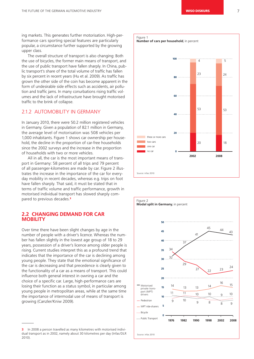ing markets. This generates further motorisation. High-performance cars sporting special features are particularly popular, a circumstance further supported by the growing upper class.

The overall structure of transport is also changing: Both the use of bicycles, the former main means of transport, and the use of public transport have fallen sharply. In China, public transport's share of the total volume of traffic has fallen by six percent in recent years (Hu et al. 2009). As traffic has grown the other side of the coin has become apparent in the form of undesirable side effects such as accidents, air pollution and traffic jams. In many conurbations rising traffic volumes and the lack of infrastructure have brought motorised traffic to the brink of collapse.

## 2.1.2 AUTOMOBILITY IN GERMANY

In January 2010, there were 50.2 million registered vehicles in Germany. Given a population of 82.1 million in Germany, the average level of motorisation was 508 vehicles per 1,000 inhabitants. Figure 1 shows car ownership per household, the decline in the proportion of car-free households since the 2002 surveys and the increase in the proportion of households with two or more vehicles.

All in all, the car is the most important means of transport in Germany: 58 percent of all trips and 79 percent of all passenger-kilometres are made by car. Figure 2 illustrates the increase in the importance of the car for everyday mobility in recent decades, whereas e.g. trips on foot have fallen sharply. That said, it must be stated that in terms of traffic volume and traffic performance, growth in motorised individual transport has slowed sharply compared to previous decades.<sup>3</sup>

## **2.2 CHANGING DEMAND FOR CAR MOBILITY**

Over time there have been slight changes by age in the number of people with a driver's licence. Whereas the number has fallen slightly in the lowest age group of 18 to 29 years, possession of a driver's licence among older people is rising. Current studies interpret this as a profound trend that indicates that the importance of the car is declining among young people. They state that the emotional significance of the car is decreasing and that precedence is clearly given to the functionality of a car as a means of transport. This could influence both general interest in owning a car and the choice of a specific car. Large, high-performance cars are losing their function as a status symbol, in particular among young people in metropolitan areas, while at the same time the importance of intermodal use of means of transport is growing (Canzler/Kniw 2009).





**<sup>3</sup>** In 2008 a person travelled as many kilometres with motorised individual transport as in 2002, namely about 30 kilometres per day (Infas/DLR 2010).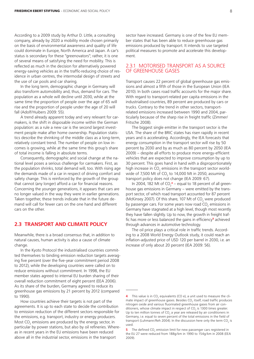According to a 2009 study by Arthur D. Little, a consulting company, already by 2020 a mobility mode chosen primarily on the basis of environmental awareness and quality of life could dominate in Europe, North America and Japan. A car's status is secondary for these "greenovators"; rather, it is one of several means of satisfying the need for mobility. This is reflected as much in the decision for alternatively powered energy-saving vehicles as in the traffic-reducing choice of residence in urban centres, the intermodal design of streets and the use of car pools and car sharing.

In the long term, demographic change in Germany will also transform automobility and, thus, demand for cars. The population as a whole will decline until 2030, while at the same time the proportion of people over the age of 65 will rise and the proportion of people under the age of 20 will fall (Adolf/Huibers 2009: 55).

A trend already apparent today and very relevant for carmakers, is the shift in disposable income within the German population: as a rule a new car is the second largest investment people make after home ownership. Population statistics describe the shrinking of the middle class as a long-term, relatively constant trend. The number of people on low incomes is growing, while at the same time this group's share of total income is falling in absolute terms.

Consequently, demographic and social change at the national level poses a serious challenge for carmakers. First, as the population shrinks, total demand will, too. With rising age the demands made of a car in respect of driving comfort and safety change. This is reinforced by the growth of the group that cannot (any longer) afford a car for financial reasons. Concerning the younger generations, it appears that cars are no longer valued in the way they were in earlier generations. Taken together, these trends indicate that in the future demand will call for fewer cars on the one hand and different cars on the other.

## **2.3 TRANSPORT AND CLIMATE POLICY**

Meanwhile, there is a broad consensus that, in addition to natural causes, human activity is also a cause of climate change.

In the Kyoto Protocol the industrialised countries committed themselves to binding emission reduction targets averaging five percent (over the five-year commitment period 2008 to 2012), while the developing countries were called on to reduce emissions without commitment. In 1998, the EU member states agreed to internal EU burden sharing of their overall reduction commitment of eight percent (EEA 2006). As its share of the burden, Germany agreed to reduce its greenhouse gas emissions by 21 percent by 2012 (compared to 1990).

How countries achieve their targets is not part of the agreements. It is up to each state to decide the contribution to emission reduction of the different sectors responsible for the emissions, e.g. transport, industry or energy producers. Most CO<sub>2</sub> emissions are produced by the energy sector, in particular by power stations, but also by oil refineries. Whereas in recent years in the EU emissions have been reduced above all in the industrial sector, emissions in the transport

sector have increased. Germany is one of the few EU member states that has been able to reduce greenhouse gas emissions produced by transport. It intends to use targeted political measures to promote and accelerate this development.

## 2.3.1 MOTORISED TRANSPORT AS A SOURCE OF GREENHOUSE GASES

Transport causes 22 percent of global greenhouse gas emissions and almost a fifth of those in the European Union (IEA 2010). In both cases road traffic accounts for the major share. With regard to transport-related per capita emissions in the industrialised countries, 89 percent are produced by cars or trucks. Contrary to the trend in other sectors, transportrelated emissions increased between 1990 and 2004, particularly because of the sharp rise in freight traffic (Zimmer/ Fritsche 2008).

The biggest single emitter in the transport sector is the USA. The share of the BRIC states has risen rapidly in recent years and is accelerating. Accordingly, the IEA forecasts that energy consumption in the transport sector will rise by 50 percent by 2030 and by as much as 80 percent by 2050 (IEA 2009) – despite all efforts to produce more energy-efficient vehicles that are expected to improve consumption by up to 30 percent. This goes hand in hand with a disproportionately high increase in CO<sub>2</sub> emissions in the transport sector worldwide of 7,500 Mt of CO<sub>2</sub> to 14,000 Mt in 2050, assuming transport policy does not change (IEA 2009: 67).

In 2004, 182 Mt of  $CO<sub>2</sub><sup>4</sup>$  – equal to 18 percent of all greenhouse gas emissions in Germany – were emitted by the transport sector, of which road transport accounted for 87 percent (McKinsey 2007). Of this share, 107 Mt of CO<sub>2</sub> were produced by passenger cars. For some years now road CO $_{\textrm{\tiny{2}}}$  emissions in Germany have stagnated at a high level, though most recently they have fallen slightly. Up to now, the growth in freight traffic has more or less balanced the gains in efficiency<sup>5</sup> achieved through advances in automotive technology.

The oil price plays a critical role in traffic trends. According to a 2008 World Energy Outlook study, it could reach an inflation-adjusted price of USD 120 per barrel in 2030, i.e. an increase of only about 20 percent (IEA 2009: 56).

This value is in CO<sub>2</sub> equivalents (CO e), a unit used to measure the climate impact of greenhouse gases. Besides CO<sub>2</sub> itself, road traffic produces nitrogen oxide and various fluorinated greenhouse gases from air conditioners, whose climate impact in respect of CO<sub>2</sub> is 1300 times greater. Up to ten million tonnes of CO<sub>2</sub> a year are released by air conditioners in Germany, i.e. equal to seven percent of the total emissions in the field of transport (Luhmann/Reh 2004). In the discussion here only the term CO<sub>2</sub> is used.

**<sup>5</sup>** The defined CO<sub>2</sub> emission limit for new passenger cars registered in the EU 27 were reduced from 188g/km in 1990 to 154g/km in 2008 (EEA 2009).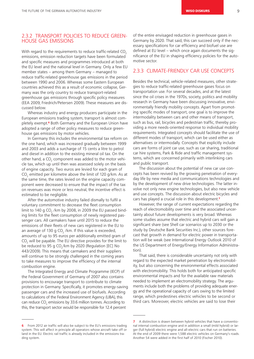## 2.3.2 TRANSPORT POLICIES TO REDUCE GREEN-HOUSE GAS EMISSIONS

With regard to the requirements to reduce traffic-related  $CO<sub>2</sub>$ emissions, emission reduction targets have been formulated and specific measures and programmes introduced at both the EU level and the national level in Germany. Only a few EU member states – among them Germany – managed to reduce traffic-related greenhouse gas emissions in the period between 1990 and 2006. Whereas some Eastern European countries achieved this as a result of economic collapse, Germany was the only country to reduce transport-related greenhouse gas emissions through specific policy measures (EEA 2009, Friedrich/Petersen 2009). These measures are discussed below.

Whereas industry and energy producers participate in the European emissions trading system, transport is almost completely exempt.<sup>6</sup> Both Germany and the European Union have adopted a range of other policy measures to reduce greenhouse gas emissions by motor vehicles.

In Germany this includes the environmental tax reform on the one hand, which was increased gradually between 1999 and 2003 and adds a surcharge of 15 cents a litre to petrol and diesel in addition to the existing mineral oil tax. On the other hand, a CO<sub>2</sub> component was added to the motor vehicle tax, which up until then was assessed solely on the basis of engine capacity. Two euros are levied for each gram of CO<sub>2</sub> emitted per kilometre above the limit of 120 g/km. As at the same time, the rates levied on the engine capacity component were decreased to ensure that the impact of the tax on revenues was more or less neutral, the incentive effect is estimated to be negligible.

After the automotive industry failed dismally to fulfil a voluntary commitment to decrease the fleet consumption limit to 140 g CO $_{\rm_2}$  /km by 2008, in 2009 the EU passed binding limits for the fleet consumption of newly registered passenger cars. All carmakers have until 2015 to reduce the emissions of their fleets of new cars registered in the EU to an average of 130 g CO<sub>2</sub> /km. If this value is exceeded, amounts of up to 95 euros per additionally emitted gram of CO<sub>2</sub> will be payable. The EU directive provides for the limit to be reduced to 95 g CO<sub>2</sub>/km by 2020 (Regulation [EC] No 443/2009). This means that carmakers and their suppliers will continue to be strongly challenged in the coming years to take measures to improve the efficiency of the internal combustion engine.

The Integrated Energy and Climate Programme (IECP) of the Federal Government of Germany of 2007 also contains provisions to encourage transport to contribute to climate protection in Germany. Specifically, it promotes energy-saving passenger cars and the increased use of biofuels. According to calculations of the Federal Environment Agency (UBA), this can reduce  $\mathsf{CO}_2$  emissions by 33.6 million tonnes. According to this, the transport sector would be responsible for 12.4 percent

of the entire envisaged reduction in greenhouse gases in Germany by 2020. That said, this can succeed only if the necessary specifications for car efficiency and biofuel use are defined at EU level – which once again documents the significance of the EU in shaping efficiency policies for the automotive sector.

## 2.3.3 CLIMATE-FRIENDLY CAR USE CONCEPTS

Besides the technical, vehicle-related measures, other strategies to reduce traffic-related greenhouse gases focus on transportation use. For several decades, and at the latest since the oil crises in the 1970s, society, politics and mobility research in Germany have been discussing innovative, environmentally friendly mobility concepts. Apart from promoting specific modes of transport, one goal is to improve the intermodality between cars and other means of transport, such as bus, rail, bicycles and pedestrian traffic, thereby providing a more needs-oriented response to individual mobility requirements. Integrated concepts should facilitate the use of different modes of transport, which can be used either as alternatives or intermodally. Concepts that explicitly include cars are forms of joint car use, such as car sharing, traditional car hire systems, Park & Ride and traffic management systems, which are concerned primarily with interlinking cars and public transport.

The discussion about the potential of new car use concepts has been revived by the growing penetration of everyday life by new media and communications technologies and by the development of new drive technologies. The latter involve not only new engine technologies, but also new vehicle and use concepts. The discussion about electric bicycles and cars has played a crucial role in this development.<sup>7</sup>

However, the range of current expectations regarding the reach of electromobility over time and the associated uncertainty about future developments is very broad. Whereas some studies assume that electric and hybrid cars will gain a significant share (see Shell car scenarios up to 2030 or the study by Deutsche Bank Securities Inc.), other sources forecast that growth in demand for electric power in transportation will be weak (see International Energy Outlook 2010 of the US Department of Energy/Energy Information Administration).

That said, there is considerable uncertainty not only with regard to the expected market penetration by electromobility, but also concerning the environmental effects associated with electromobility. This holds both for anticipated specific environmental impacts and for the available raw materials needed to implement an electromobility strategy. The arguments include both the problems of providing adequate energy and the operational capacity of cars owing to the limited range, which predestines electric vehicles to be second or third cars. Moreover, electric vehicles are said to lose their

**<sup>6</sup>** From 2012 air traffic will also be subject to the EU's emissions trading system. This will affect in principle all operators whose aircraft take off or land in the EU. Electric rail traffic is already included in the emissions trading system.

**<sup>7</sup>** A distinction is drawn between hybrid vehicles that have a conventional internal combustion engine and in addition a small (mild hybrid) or larger (full hybrid) electric engine and all-electric cars that run on batteries. At the end of 2009 there were 1,588 electric vehicles on Germany's roads. Another 54 were added in the first half of 2010 (Fischer 2010).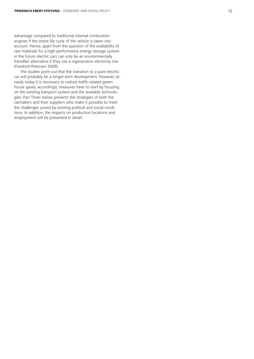advantage compared to traditional internal combustion engines if the entire life cycle of the vehicle is taken into account. Hence, apart from the question of the availability of raw materials for a high-performance energy storage system, in the future electric cars can only be an environmentally friendlier alternative if they use a regenerative electricity mix (Friedrich/Petersen 2009).

The studies point out that the transition to a pure electric car will probably be a longer-term development. However, already today it is necessary to reduce traffic-related greenhouse gases; accordingly, measures have to start by focusing on the existing transport system and the available technologies. Part Three below presents the strategies of both the carmakers and their suppliers who make it possible to meet the challenges posed by existing political and social conditions. In addition, the impacts on production locations and employment will be presented in detail.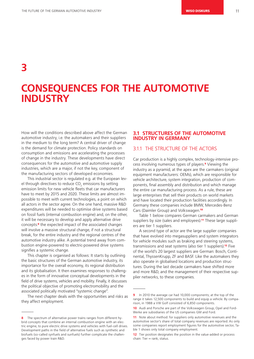**3**

## **CONSEQUENCES FOR THE AUTOMOTIVE INDUSTRY**

How will the conditions described above affect the German automotive industry, i.e. the automakers and their suppliers in the medium to the long term? A central driver of change is the demand for climate protection. Policy standards on consumption and emissions are accelerating the processes of change in the industry. These developments have direct consequences for the automotive and automotive supply industries, which are a major, if not the key, component of the manufacturing sectors of developed economies.

This industrial sector is regulated e.g. at the European level through directives to reduce CO $_{\textrm{\tiny{2}}}$  emissions by setting emission limits for new vehicle fleets that car manufacturers have to meet by 2015 and 2020. These limits are almost impossible to meet with current technologies, a point on which all actors in the sector agree. On the one hand, massive R&D expenditures will be needed to optimise drive systems based on fossil fuels (internal combustion engine) and, on the other, it will be necessary to develop and apply alternative drive concepts:8 the expected impact of the associated changes will involve a massive structural change, if not a structural break, for the entire industry and the regional centres of the automotive industry alike. A potential trend away from combustion engine-powered to electric-powered drive systems signifies a systemic change.

This chapter is organised as follows: It starts by outlining the basic structures of the German automotive industry, its importance for the overall economy, its regional distribution and its globalisation. It then examines responses to challenges in the form of innovative conceptual developments in the field of drive systems, vehicles and mobility. Finally, it discusses the political objective of promoting electromobility and the associated politically motivated "systemic change".

The next chapter deals with the opportunities and risks as they affect employment.

## **3.1 STRUCTURES OF THE AUTOMOTIVE INDUSTRY IN GERMANY**

## 3.1.1 THE STRUCTURE OF THE ACTORS

Car production is a highly complex, technology-intensive process involving numerous types of players.9 Viewing the industry as a pyramid, at the apex are the carmakers (original equipment manufacturers: OEMs), which are responsible for vehicle architecture, system integration, production of components, final assembly and distribution and which manage the entire car manufacturing process. As a rule, these are large enterprises that sell their products on world markets and have located their production facilities accordingly. In Germany these companies include BMW, Mercedes-Benz Cars (Daimler Group) and Volkswagen.<sup>10</sup>

Table 1 below compares German carmakers and German suppliers by size (sales and employees).<sup>11</sup> These large suppliers are tier 1 suppliers.

A second type of actor are the large supplier companies that have evolved into megasuppliers and system integrators for vehicle modules such as braking and steering systems, transmissions and seat systems (also tier 1 suppliers).<sup>12</sup> Five of the world's 20 largest suppliers are German: Bosch, Continental, ThyssenKrupp, ZF and BASF. Like the automakers they also operate in globalised locations and production structures. During the last decade carmakers have shifted more and more R&D, and the management of their respective supplier networks, to these companies.

**<sup>8</sup>** The spectrum of alternative power trains ranges from different hybrid concepts that combine an internal combustion engine with an electric engine, to pure electric drive systems and vehicles with fuel-cell drives. Development paths in the field of alternative fuels such as synthetic and biofuels (so-called synfuels and sunfuels) further complicate the challenges faced by power train R&D.

**<sup>9</sup>** In 2010 the average car had 10,000 components; at the top of the range it takes 12,500 components to build and equip a vehicle. By comparison, in 1988 a VW Golf consisted of 6,850 components.

**<sup>10</sup>** Audi and Porsche are part of the Volkswagen Group, Opel and Ford-Werke are subsidiaries of the US companies GM and Ford.

**<sup>11</sup>** Note about method: for suppliers only automotive revenues and the automotive sector's share of total company revenues are reported. As only some companies report employment figures for the automotive sector, Table 1 shows only total company employment.

**<sup>12</sup>** Tier position designates the position in the value-added or process chain: Tier = rank, status.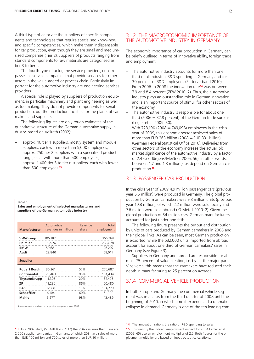A third type of actor are the suppliers of specific components and technologies that require specialised know-how and specific competencies, which make them indispensable for car production, even though they are small and mediumsized companies (Tier 2). Suppliers of products ranging from standard components to raw materials are categorised as tier 3 to tier n.

The fourth type of actor, the service providers, encompasses all service companies that provide services for other actors in the value-added or process chain. Particularly important for the automotive industry are engineering services providers.

A special role is played by suppliers of production equipment, in particular machinery and plant engineering as well as toolmaking. They do not provide components for serial production, but the production facilities for the plants of carmakers and suppliers.

The following figures are only rough estimates of the quantitative structure of the German automotive supply industry, based on Vollrath (2002):

- approx. 40 tier 1 suppliers, mostly system and module suppliers, each with more than 5,000 employees;
- approx. 250 tier 2 suppliers with a specialised product range, each with more than 500 employees;
- approx. 1,400 tier 3 to tier n suppliers, each with fewer than 500 employees.<sup>13</sup>

#### Table 1

**Sales and employment of selected manufacturers and suppliers of the German automotive industry**

|                     | Automotive           | Revenue | Total      |
|---------------------|----------------------|---------|------------|
| <b>Manufacturer</b> | revenues in millions | share   | employment |
| VW-Group            | 105,187              |         | 366,769    |
| <b>Daimler</b>      | 78,924               |         | 258,628    |
| <b>BMW</b>          | 50,681               |         | 96,207     |
| Audi                | 29,840               |         | 58,011     |
| <b>Supplier</b>     |                      |         |            |
| <b>Robert Bosch</b> | 30,261               | 57%     | 270,687    |
| Continental         | 26,483               | 95%     | 134,434    |
| ThyssenKrupp        | 11,305               | 20%     | 187,495    |
| ZF                  | 11,230               | 86%     | 60,480     |
| <b>BASF</b>         | 6,968                | 10%     | 104,779    |
| <b>Schaeffler</b>   | 6,104                | 60%     | 61,000     |
| Mahle               | 5,277                | 98%     | 43,489     |

Source: Annual reports of the respective companies, as of 2009

The economic importance of car production in Germany can be briefly outlined in terms of innovative ability, foreign trade and employment:

- The automotive industry accounts for more than one third of all industrial R&D spending in Germany and for 30 percent of R&D employees (Stifterverband 2010). From 2006 to 2008 the innovation rate<sup>14</sup> was between 7.9 and 8.4 percent (ZEW 2010: 2). Thus, the automotive industry plays an outstanding role in German innovation and is an important source of stimuli for other sectors of the economy.
- The automotive industry is responsible for about one third (2006  $=$  32.8 percent) of the German trade surplus (Legler et al. 2009: 50).
- With 723,190 (2008 = 749,098) employees in the crisis year of 2009, this economic sector achieved sales of more than EUR 263 billion  $(2008 = EUR 331$  billion) (German Federal Statistical Office 2010). Deliveries from other sectors of the economy increase the actual job market significance of the automotive industry by a factor of 2.4 (see Jürgens/Meißner 2005: 56). In other words, between 1.7 and 1.8 million jobs depend on German car production.<sup>15</sup>

## 3.1.3 PASSENGER CAR PRODUCTION

In the crisis year of 2009 4.9 million passenger cars (previous year 5.5 million) were produced in Germany. The global production by German carmakers was 9.8 million units (previous year 10.8 million), of which 2.2 million were sold locally and 7.6 million were sold abroad (IG Metall 2010: 2). Given the global production of 54 million cars, German manufacturers accounted for just under one fifth.

The following figure presents the output and distribution by units of cars produced by German carmakers in 2008 and their global links. As can be seen, most German production is exported, while the 532,000 units imported from abroad account for about one third of German carmakers' sales in Germany (see Figure 3).

Suppliers in Germany and abroad are responsible for almost 75 percent of value creation, i.e. by far the major part. Vice versa, this means that the carmakers have reduced their depth in manufacturing to 25 percent on average.

## 3.1.4 COMMERCIAL VEHICLE PRODUCTION

In both Europe and Germany the commercial vehicle segment was in a crisis from the third quarter of 2008 until the beginning of 2010, in which time it experienced a dramatic collapse in demand. Germany is one of the ten leading com-

<sup>3.1.2</sup> THE MACROECONOMIC IMPORTANCE OF THE AUTOMOTIVE INDUSTRY IN GERMANY

**<sup>14</sup>** The innovation ratio is the ratio of R&D spending to sales.

**<sup>13</sup>** In a 2007 study (VDA/IKB 2007: 12) the VDA assumes that there are 2,000 supplier companies in Germany, of which 208 have sales of more than EUR 100 million and 700 sales of more than EUR 10 million.

**<sup>15</sup>** To quantify the indirect employment impact for 2004 Legler et al. (2009: 65) use an employment multiplier of 2.2. Both figures for the employment multiplier are based on input-output calculations.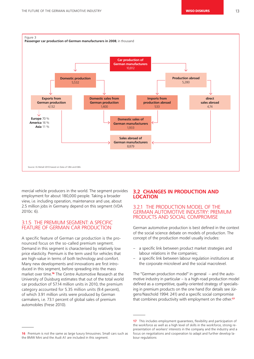

mercial vehicle producers in the world. The segment provides employment for about 180,000 people. Taking a broader view, i.e. including operation, maintenance and use, about 2.5 million jobs in Germany depend on this segment (VDA 2010c: 6).

## 3.1.5 THE PREMIUM SEGMENT: A SPECIFIC FEATURE OF GERMAN CAR PRODUCTION

A specific feature of German car production is the pronounced focus on the so-called premium segment. Demand in this segment is characterised by relatively low price elasticity. Premium is the term used for vehicles that are high-value in terms of both technology and comfort. Many new developments and innovations are first introduced in this segment, before spreading into the mass market over time.16 The Centre Automotive Research at the University of Duisburg estimates that out of the total world car production of 57.14 million units in 2010, the premium category accounted for 5.35 million units (9.4 percent), of which 3.91 million units were produced by German carmakers, i.e. 73.1 percent of global sales of premium automobiles (Frese 2010).

## **3.2 CHANGES IN PRODUCTION AND LOCATION**

## 3.2.1 THE PRODUCTION MODEL OF THE GERMAN AUTOMOTIVE INDUSTRY: PREMIUM PRODUCTS AND SOCIAL COMPROMISE

German automotive production is best defined in the context of the social science debate on models of production. The concept of the production model usually includes:

- a specific link between product market strategies and labour relations in the companies;
- a specific link between labour regulation institutions at the corporate microlevel and the social macrolevel.

The "German production model" in general – and the automotive industry in particular – is a high-road production model defined as a competitive, quality-oriented strategy of specialising in premium products on the one hand (for details see Jürgens/Naschold 1994: 241) and a specific social compromise that combines productivity with employment on the other.<sup>17</sup>

**<sup>16</sup>** Premium is not the same as large luxury limousines. Small cars such as the BMW Mini and the Audi A1 are included in this segment.

**<sup>17</sup>** This includes employment guarantees, flexibility and participation of the workforce as well as a high level of skills in the workforce, strong representation of workers' interests in the company and the industry and a focus on negotiations and cooperation to adapt and further develop labour regulations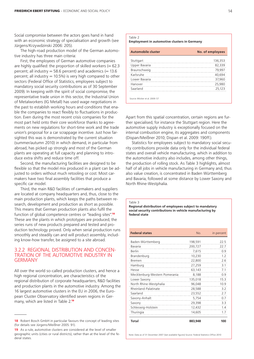Social compromise between the actors goes hand in hand with an economic strategy of specialisation and growth (see Jürgens/Krzywdzinski 2006: 205).

The high-road production model of the German automotive industry has three main criteria:

First, the employees of German automotive companies are highly qualified: the proportion of skilled workers  $(= 62.3)$ percent; all industry  $=$  58.6 percent) and academics ( $=$  13.6 percent; all industry  $= 10.5\%$ ) is very high compared to other sectors (Federal Office of Statistics, employees subject to mandatory social security contributions as of 30 September 2009). In keeping with the spirit of social compromise, the representative trade union in this sector, the Industrial Union of Metalworkers (IG Metall) has used wage negotiations in the past to establish working hours and conditions that enable the companies to react flexibly to fluctuations in production. Even during the most recent crisis companies for the most part held onto their core workforce thanks to agreements on new regulations for short-time work and the trade union's proposal for a car scrappage incentive. Just how farsighted this was is demonstrated by the current situation (summer/autumn 2010) in which demand, in particular from abroad, has picked up strongly and most of the German plants are operating at full capacity and planning to introduce extra shifts and reduce time off.

Second, the manufacturing facilities are designed to be flexible so that the model mix produced in a plant can be adjusted to orders without much retooling or cost. Most carmakers have two final assembly facilities that produce a specific car model.

Third, the main R&D facilities of carmakers and suppliers are located at company headquarters and, thus, close to the main production plants, which keeps the paths between research, development and production as short as possible. This means that German production plants also fulfil the function of global competence centres or "leading sites".<sup>18</sup> These are the plants in which prototypes are produced, the series runs of new products prepared and tested and production technology proved. Only when serial production runs smoothly and steadily can and will product assembly, including know-how transfer, be assigned to a site abroad.

## 3.2.2 REGIONAL DISTRIBUTION AND CONCEN-TRATION OF THE AUTOMOTIVE INDUSTRY IN **GERMANY**

All over the world so-called production clusters, and hence a high regional concentration, are characteristics of the regional distribution of corporate headquarters, R&D facilities and production plants in the automotive industry. Among the 16 largest automotive clusters in the EU in 2006, the European Cluster Observatory identified seven regions in Germany, which are listed in Table 2.<sup>19</sup>

| Table 2<br><b>Employment in automotive clusters in Germany</b> |                  |  |  |
|----------------------------------------------------------------|------------------|--|--|
| <b>Automobile cluster</b>                                      | No. of employees |  |  |
| Stuttgart                                                      | 136,353          |  |  |
| Upper Bavaria                                                  | 82,339           |  |  |
| Braunschweig                                                   | 79,997           |  |  |
| Karlsruhe                                                      | 40,694           |  |  |
| Lower Bavaria                                                  | 37,960           |  |  |
| Hanover                                                        | 25,980           |  |  |
| Saarland                                                       | 25,123           |  |  |
| Source: Blöcker et al. 2009: 57                                |                  |  |  |

Apart from this spatial concentration, certain regions are further specialised, for instance the Stuttgart region. Here the automotive supply industry is exceptionally focused on the internal combustion engine, its aggregates and components (Dispan/Meißner 2010; Dispan et al. 2009: 190ff.).

Statistics for employees subject to mandatory social security contributions provide data only for the individual federal states and overall vehicle manufacturing, which in addition to the automotive industry also includes, among other things, the production of rolling stock. As Table 3 highlights, almost half of all jobs in vehicle manufacturing in Germany and, thus also value creation, is concentrated in Baden Württemberg and Bavaria, followed at some distance by Lower Saxony and North Rhine-Westphalia.

**Regional distribution of employees subject to mandatory social security contributions in vehicle manufacturing by federal state**

| <b>Federal states</b>         | No.     | in percent |
|-------------------------------|---------|------------|
| Baden-Württemberg             | 198,591 | 22.5       |
| Bavaria                       | 200,727 | 22.7       |
| <b>Berlin</b>                 | 7,615   | 0.9        |
| Brandenburg                   | 10,230  | 1.2        |
| Bremen                        | 22,800  | 2.6        |
| Hamburg                       | 27,259  | 3.1        |
| Hesse                         | 63,143  | 7.1        |
| Mecklenburg-Western Pomerania | 8,188   | 0.9        |
| Lower Saxony                  | 135,018 | 15.3       |
| North Rhine-Westphalia        | 96,048  | 10.9       |
| Rheinland-Palatinate          | 28,588  | 3.2        |
| Saarland                      | 23,552  | 2.7        |
| Saxony-Anhalt                 | 5,754   | 0.7        |
| Saxony<br>.                   | 29,398  | 3.3        |
| Schleswig-Holstein            | 12,432  | 1.4        |
| Thuringia                     | 14,605  | 1.7        |
| <b>Total</b>                  | 883,948 | 100        |

**<sup>18</sup>** Robert Bosch GmbH in particular favours the concept of leading sites (for details see Jürgens/Meißner 2005: 91).

**<sup>19</sup>** As a rule, automotive clusters are considered at the level of smaller geographic units (cities or rural districts), rather than at the level of the federal states.

Table 3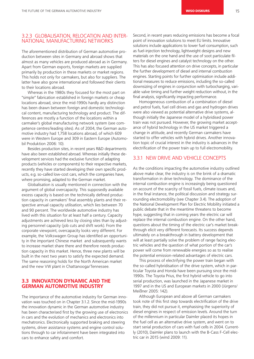## 3.2.3 GLOBALISATION, RELOCATION AND INTER-NATIONAL MANUFACTURING NETWORKS

The aforementioned distribution of German automotive production between sites in Germany and abroad shows that almost as many vehicles are produced abroad as in Germany. Apart from German exports, foreign markets are supplied primarily by production in these markets or market regions. This holds not only for carmakers, but also for suppliers. The latter have also gone international and followed their clients to their locations abroad.

Whereas in the 1980s they focused for the most part on "simple" fabrication established in foreign markets or cheap locations abroad, since the mid-1990s hardly any distinction has been drawn between foreign and domestic technological content, manufacturing technology and product. The differences are mostly a function of the locations within a carmaker's global manufacturing network system (see competence centres/leading sites). As of 2004, the German automotive industry had 1,758 locations abroad, of which 609 were in Western Europe and 309 in Eastern Europe (Automobil Produktion 2006: 10).

Besides production sites, in recent years R&D departments have also been established abroad. Whereas initially these development services had the exclusive function of adapting products (vehicles or components) to their respective markets, recently they have started developing their own specific products, e.g. so-called low-cost cars, which the companies have, where promising, adapted to the German market.

Globalisation is usually mentioned in connection with the argument of global overcapacity. This supposedly available excess capacity is based on the technically defined production capacity in carmakers' final assembly plants and their respective annual capacity utilisation, which lies between 70 and 90 percent. The worldwide automotive industry has lived with this situation for at least half a century. Capacity adjustments are achieved less by closing sites than by adjusting personnel capacity (job cuts and shift work). From the corporate viewpoint, overcapacity looks very different. For example, the Volkswagen Group has identified an opportunity in the important Chinese market and subsequently wants to increase market share there and therefore needs production capacity in this market. Hence, three new plants will be built in the next two years to satisfy the expected demand. The same reasoning holds for the North American market and the new VW plant in Chattanooga/Tennessee.

## **3.3 INNOVATION DYNAMIC AND THE GERMAN AUTOMOTIVE INDUSTRY**

The importance of the automotive industry for German innovation was touched on in Chapter 3.1.2. Since the mid-1990s the innovation dynamic in the German automotive industry has been characterised first by the growing use of electronics in cars and the evolution of mechanics and electronics into mechatronics. Electronically supported braking and steering systems, driver assistance systems and engine control solutions through to car infotainment have been integrated into cars to enhance safety and comfort.

Second, in recent years reducing emissions has become a focal point of innovation solutions to meet EU limits. Innovative solutions include applications to lower fuel consumption, such as fuel-injection technology, lightweight designs and new materials on the one hand and the use of soot particulate filters for diesel engines and catalyst technology on the other. This has also focused attention on drive concepts, in particular the further development of diesel and internal combustion engines. Starting points for further optimisation include additional measures to reduce emissions, including the so-called downsizing of engines in conjunction with turbocharging, variable valve timing and further weight reduction without, in the final analysis, significantly impacting performance.

Homogeneous combustion of a combination of diesel and petrol fuels, fuel cell drives and gas and hydrogen drives were also viewed as potential alternative drive systems, although initially the Japanese model of a hybridised power train was not pursued. However, the growing market acceptance of hybrid technology in the US market triggered a change in attitude, and recently German carmakers have started to offer vehicles with hybrid drives. Another innovation topic of crucial interest in the industry is advances in the electrification of the power train up to full electromobility.

## 3.3.1 NEW DRIVE AND VEHICLE CONCEPTS

As the conditions impacting the automotive industry outlined above make clear, the industry is on the brink of a dramatic transformation in drive technology. The dominance of the internal combustion engine is increasingly being questioned on account of the scarcity of fossil fuels, climate issues and, in the final instance, the political discussion and strategy surrounding electromobility (see Chapter 3.4). The adoption of the National Development Plan for Electric Mobility initiated a public debate that in the meantime threatens to become hype, suggesting that in coming years the electric car will replace the internal combustion engine. On the other hand, questions about the timing of the electric car's market breakthrough elicit very different forecasts. Its success depends ultimately on a breakthrough in battery development that will at least partially solve the problem of range facing electric vehicles and the question of what portion of the car's power will come from renewable energies so as to realise the potential emission-related advantages of electric cars.

This process of electrifying the power train began with the so-called hybridisation of the drive system, which in particular Toyota and Honda have been pursuing since the mid-1990s. The Toyota Prius, the first hybrid vehicle to go into serial production, was launched in the Japanese market in 1997 and in the US and European markets in 2000 (Jürgens/ Meißner 2005: 142).

Although European and above all German carmakers took note of this first step towards electrification of the drive train, they did not pursue it, emphasising the superiority of diesel engines in respect of emission levels. Around the turn of the millennium in particular Daimler placed its hopes in the fuel cell as an alternative drive system, and went on to start serial production of cars with fuel cells in 2004. Currently (2010), Daimler plans to launch with the B-Cass F-Cell electric car in 2015 (wind 2009: 11).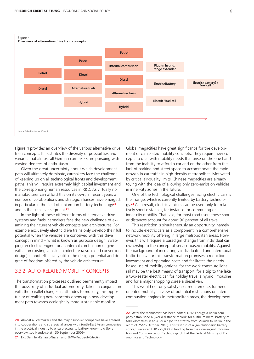

Source: Schmidt-Sandte 2010: 5

Figure 4 provides an overview of the various alternative drive train concepts. It illustrates the diversity of possibilities and variants that almost all German carmakers are pursuing with varying degrees of enthusiasm.

Given the great uncertainty about which development path will ultimately dominate, carmakers face the challenge of keeping up on all technological fronts and development paths. This will require extremely high capital investment and the corresponding human resources in R&D. As virtually no manufacturer can afford this on its own, in recent years a number of collaborations and strategic alliances have emerged, in particular in the field of lithium-ion battery technology<sup>20</sup> and in the small car segment.<sup>21</sup>

In the light of these different forms of alternative drive systems and fuels, carmakers face the new challenge of examining their current vehicle concepts and architectures. For example exclusively electric drive trains only develop their full potential when the vehicles are conceived with this drive concept in mind – what is known as purpose design. Swapping an electric engine for an internal combustion engine within an existing vehicle architecture (a so-called conversion design) cannot effectively utilise the design potential and degree of freedom offered by the vehicle architecture.

## 3.3.2 AUTO-RELATED MOBILITY CONCEPTS

The transformation processes outlined permanently impact the possibility of individual automobility. Taken in conjunction with the parallel changes in attitudes to mobility, this opportunity of realising new concepts opens up a new development path towards ecologically more sustainable mobility.

Global megacities have great significance for the development of car-related mobility concepts. They require new concepts to deal with mobility needs that arise on the one hand from the inability to afford a car and on the other from the lack of parking and street space to accommodate the rapid growth in car traffic in high-density metropolises. Motivated by critical air-quality limits, Chinese megacities are already toying with the idea of allowing only zero-emission vehicles in inner-city zones in the future.

One of the technological challenges facing electric cars is their range, which is currently limited by battery technology.<sup>22</sup> As a result, electric vehicles can be used only for relatively short distances, for instance for commuting or inner-city mobility. That said, for most road users these shorter distances account for about 90 percent of all travel.

This restriction is simultaneously an opportunity, namely to include electric cars as a component in a comprehensive network mobility offering in large metropolitan areas. However, this will require a paradigm change from individual car ownership to the concept of service-based mobility. Against the background of increasingly individualised and intermodal traffic behaviour this transformation promises a reduction in investment and operating costs and facilitates the needsbased use of mobility options: for the work commute light rail may be the best means of transport, for a trip to the lake a two-seater electric car, for holiday travel a hybrid limousine and for a major shopping spree a diesel van.

This would not only satisfy user requirements for needsoriented mobility: in view of potential restrictions on internal combustion engines in metropolitan areas, the development

**<sup>20</sup>** Almost all carmakers and the major supplier companies have entered into cooperations and strategic alliances with South-East Asian companies in the electrical industry to ensure access to battery know-how (for an overview, see Handelsblatt, 30 September 2009).

**<sup>21</sup>** E.g. Daimler-Renault-Nissan and BMW-Peugeot-Citroën.

**<sup>22</sup>** After the manuscript has been edited, DBM Energy, a Berlin company established a "world distance record" for a lithium metal battery of 600 kilometres in an Audi A2 (on the stretch from Munich to Berlin in the night of 25/26 October 2010). This test run of a "revolutionary" battery concept received EUR 275,000 in funding from the Convergent Information and Communication Technology Unit at the Federal Ministry of Economics and Technology.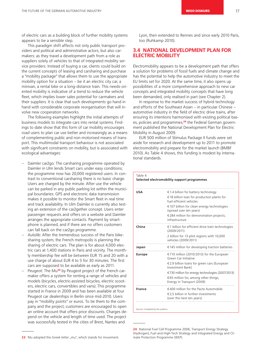of electric cars as a building block of further mobility systems appears to be a sensible step.

This paradigm shift affects not only public transport providers and political and administrative actors, but also carmakers: as they travel a development path from a role as suppliers solely of vehicles to that of integrated mobility service providers. Instead of buying a car, clients could build on the current concepts of leasing and carsharing and purchase a "mobility package" that allows them to use the appropriate mobility option for a situation – be it an electric city car, a minivan, a rental bike or a long-distance train. This needs-oriented mobility is indicative of a trend to reduce the vehicle fleet, which implies lower sales potential for carmakers and their suppliers. It is clear that such developments go hand in hand with considerable corporate reorganisation that will involve new cooperation networks.

The following examples highlight the initial attempts of business models to integrate cars into rental systems. Findings to date show that this form of car mobility encourages road users to plan car use better and increasingly as a means of complementing public and non-motorised means of transport. This multimodal transport behaviour is not associated with significant constraints on mobility, but is associated with ecological advantages:

- Daimler car2go: The carsharing programme operated by Daimler in Ulm lends Smart cars under easy conditions; the programme now has 20,000 registered users. In contrast to conventional carsharing there is no basic charge. Users are charged by the minute. After use the vehicle can be parked in any public parking lot within the municipal boundaries. GPS and electronic data transmission makes it possible to monitor the Smart fleet in real time and track availability. In Ulm Daimler is currently also testing an extension of the car2gether concept. Users enter passenger requests and offers on a website and Daimler arranges the appropriate contacts. Payment by smartphone is planned, and if there are no offers customers can fall back on the car2go programme.
- Autolib: After the tremendous success of the Paris bikesharing system, the French metropolis is planning the sharing of electric cars. The plan is for about 4,000 electric cars at 1,400 stations in Paris and vicinity. The monthly membership fee will be between EUR 15 and 20 with a use charge of about EUR 4 to 5 for 30 minutes. The first cars are supposed to be available as early as 2011.
- Peugeot: The Mu<sup>23</sup> by Peugeot project of the French carmaker offers a system for renting a range of vehicles and models (bicycles, electric-assisted bicycles, electric scooters, electric cars, convertibles and vans). This programme started in France in 2009 and has been available at four Peugeot car dealerships in Berlin since mid-2010. Users pay in "mobility points" or euros. To tie them to the company and the project, customers are encouraged to open an online account that offers price discounts. Charges depend on the vehicle and length of time used. The project was successfully tested in the cities of Brest, Nantes and

23 Mu adopted the Greek letter "mu", which stands for movement.

Lyon, then extended to Rennes and since early 2010 Paris, too (Ruhkamp 2010).

## **3.4 NATIONAL DEVELOPMENT PLAN FOR ELECTRIC MOBILITY**

Electromobility appears to be a development path that offers a solution for problems of fossil fuels and climate change and has the potential to help the automotive industry to meet the EU limits set for 2020. At the same time, it also opens up possibilities of a more comprehensive approach to new car concepts and integrated mobility concepts that have long been demanded, only realised in part (see Chapter 2).

In response to the market success of hybrid technology and efforts of the Southeast Asian – in particular Chinese – automotive industry in the field of electric drive trains, after ensuring its intentions harmonised with existing political bases, policies and programmes,<sup>24</sup> the Federal German government published the National Development Plan for Electric Mobility in August 2009.

EUR 500 million of Stimulus Package II funds were set aside for research and development up to 2011 to promote electromobility and prepare for the market launch (BMBF 2010). As Table 4 shows, this funding is modest by international standards.

#### Table 4 **Selected electromobility support programmes**

| USA           | €1.4 billion for battery technology                                        |
|---------------|----------------------------------------------------------------------------|
|               | €18 billion loan for production plants for<br>fuel-efficient vehicles      |
|               | €107 billion for clean energy technologies<br>(spread over ten years)      |
|               | €284 million for demonstration projects,<br>infrastructure                 |
| China         | $\epsilon$ 1 billion for efficient drive train technologies<br>(2009/2011) |
|               | 2 billion for 13 pilot regions with 10,000<br>vehicles (2009/2011)         |
| Japan         | €145 million for developing traction batteries                             |
| <b>Europe</b> | €710 million (2010/2013) for the European<br>Green Car Initiative          |
|               | €2.9 billion loans for green cars (European<br>Investment Bank)            |
|               | €730 million for energy technologies (2007/2013)                           |
|               | €65 million for, among other things,<br>Energy in Transport (2009)         |
| <b>France</b> | $\in$ 400 million for the Pacte Automobile                                 |
|               | €2.5 billion in further investments                                        |

Source: Compiled by the authors

**<sup>24</sup>** National Fuel Cell Programme 2006, Transport Energy Strategy (Hydrogen), Fuel and High-Tech Strategy and Integrated Energy and Climate Protection Programme (IEKP).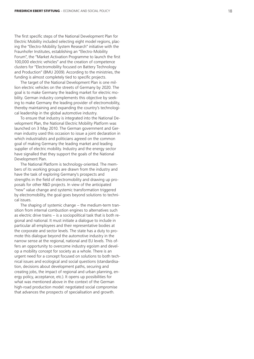The first specific steps of the National Development Plan for Electric Mobility included selecting eight model regions, placing the "Electro-Mobility System Research" initiative with the Fraunhofer Institutes, establishing an "Electro-Mobility Forum", the "Market Activation Programme to launch the first 100,000 electric vehicles" and the creation of competence clusters for "Electromobility focused on Battery Technology and Production" (BMU 2009). According to the ministries, the funding is almost completely tied to specific projects.

The target of the National Development Plan is one million electric vehicles on the streets of Germany by 2020. The goal is to make Germany the leading market for electric mobility. German industry complements this objective by seeking to make Germany the leading provider of electromobility, thereby maintaining and expanding the country's technological leadership in the global automotive industry.

To ensure that industry is integrated into the National Development Plan, the National Electric Mobility Platform was launched on 3 May 2010. The German government and German industry used this occasion to issue a joint declaration in which industrialists and politicians agreed on the common goal of making Germany the leading market and leading supplier of electric mobility. Industry and the energy sector have signalled that they support the goals of the National Development Plan.

The National Platform is technology-oriented. The members of its working groups are drawn from the industry and have the task of exploring Germany's prospects and strengths in the field of electromobility and drawing up proposals for other R&D projects. In view of the anticipated "new" value change and systemic transformation triggered by electromobility, the goal goes beyond solutions to technical issues.

The shaping of systemic change – the medium-term transition from internal combustion engines to alternatives such as electric drive trains – is a sociopolitical task that is both regional and national. It must initiate a dialogue to include in particular all employees and their representative bodies at the corporate and sector levels. The state has a duty to promote this dialogue beyond the automotive industry in the narrow sense at the regional, national and EU levels. This offers an opportunity to overcome industry egoism and develop a mobility concept for society as a whole. There is an urgent need for a concept focused on solutions to both technical issues and ecological and social questions (standardisation, decisions about development paths, securing and creating jobs, the impact of regional and urban planning, energy policy, acceptance, etc.). It opens up possibilities for what was mentioned above in the context of the German high-road production model: negotiated social compromise that advances the prospects of specialisation and growth.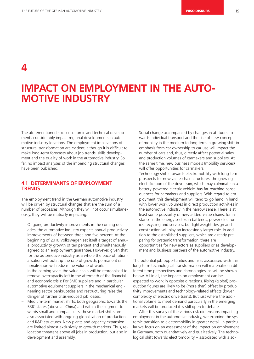**4**

## **IMPACT ON EMPLOYMENT IN THE AUTO-MOTIVE INDUSTRY**

The aforementioned socio-economic and technical developments considerably impact regional developments in automotive industry locations. The employment implications of structural transformation are evident, although it is difficult to make long-term forecasts about job trends, skills development and the quality of work in the automotive industry. So far, no impact analyses of the impending structural changes have been published.

## **4.1 DETERMINANTS OF EMPLOYMENT TRENDS**

The employment trend in the German automotive industry will be driven by structural changes that are the sum of a number of processes. Although they will not occur simultaneously, they will be mutually impacting:

- Ongoing productivity improvements in the coming decades: the automotive industry expects annual productivity improvements of between three and five percent. At the beginning of 2010 Volkswagen set itself a target of annual productivity growth of ten percent and simultaneously agreed to an employment guarantee. However, given that for the automotive industry as a whole the pace of rationalisation will outstrip the rate of growth, permanent rationalisation will reduce the volume of work.
- In the coming years the value chain will be reorganised to remove overcapacity left in the aftermath of the financial and economic crisis: For SME suppliers and in particular automotive equipment suppliers in the mechanical engineering sector bankruptcies and restructuring raise the danger of further crisis-induced job losses.
- Medium-term market shifts, both geographic towards the BRIC states (above all China) and within the segment towards small and compact cars: these market shifts are also associated with ongoing globalisation of production and R&D structures. New plants and capacity expansion are limited almost exclusively to growth markets. Thus, relocation threatens above all jobs in production, but also in development and assembly.
- Social change accompanied by changes in attitudes towards individual transport and the rise of new concepts of mobility in the medium to long term: a growing shift in emphasis from car ownership to car use will impact the number of cars and, thus, directly affect potential sales and production volumes of carmakers and suppliers. At the same time, new business models (mobility services) will offer opportunities for carmakers.
- Technology shifts towards electromobility with long-term prospects for new value-chain structures: the growing electrification of the drive train, which may culminate in a battery-powered electric vehicle, has far-reaching consequences for carmakers and suppliers. With regard to employment, this development will tend to go hand in hand with lower work volumes in direct production activities in the automotive industry in the narrow sense. There is at least some possibility of new added-value chains, for instance in the energy sector, in batteries, power electronics, recycling and services, but lightweight design and construction will play an increasingly larger role. In addition to the established suppliers, which are already preparing for systemic transformation, there are opportunities for new actors as suppliers or as development and business partners of the automotive industry.

The potential job opportunities and risks associated with this long-term technological transformation will materialise in different time perspectives and chronologies, as will be shown below. All in all, the impacts on employment can be expected to work in opposite directions. Rising (global) production figures are likely to be (more than) offset by productivity improvements and technology-related effects (lower complexity of electric drive trains). But just where the additional volume to meet demand particularly in the emerging markets will be produced it is still open to debate.

After this survey of the various risk dimensions impacting employment in the automotive industry, we examine the systemic transition to electromobility in greater detail. In particular we focus on an assessment of the impact on employment in Germany, both quantitatively and qualitatively. The technological shift towards electromobility – associated with a so-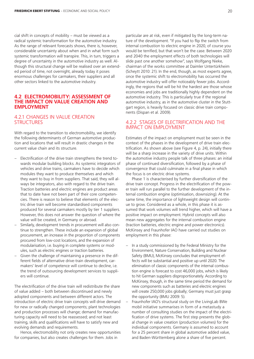cial shift in concepts of mobility – must be viewed as a radical systemic transformation for the automotive industry. As the range of relevant forecasts shows, there is, however, considerable uncertainty about when and in what form such systemic transformation will transpire. This, in turn, triggers a degree of uncertainty in the automotive industry as well. Although this structural change will be realised over an extended period of time, not overnight, already today it poses enormous challenges for carmakers, their suppliers and all other sectors linked to the automotive industry.

## **4.2 ELECTROMOBILITY: ASSESSMENT OF THE IMPACT ON VALUE CREATION AND EMPLOYMENT**

## 4.2.1 CHANGES IN VALUE CREATION **STRUCTURES**

With regard to the transition to electromobility, we identify the following determinants of German automotive production and locations that will result in drastic changes in the current value chain and its structure.

- Electrification of the drive train strengthens the trend towards modular building blocks. As systemic integrators of vehicles and drive trains, carmakers have to decide which modules they want to produce themselves and which they want to buy in from suppliers. That said, they will always be integrators, also with regard to the drive train. Traction batteries and electric engines are product areas that to date have not been part of their core competencies. There is reason to believe that elements of the electric drive train will become standardised components produced for several carmakers mostly by tier 1 suppliers. However, this does not answer the question of where the value will be created, in Germany or abroad.
- Similarly, development trends in procurement will also continue to strengthen. These include an expansion of global procurement, an increase in the proportion of components procured from low-cost locations, and the expansion of modularisation, i.e. buying in complete systems or modules, such as electric engines or traction batteries.
- Given the challenge of maintaining a presence in the different fields of alternative drive-train development, carmakers' level of competence will continue to decline, i.e. the trend of outsourcing development services to suppliers will continue.

The electrification of the drive train will redistribute the share of value added – both between discontinued and newly adopted components and between different actors. The introduction of electric drive train concepts will drive demand for new or radically changed components; plant technologies and production processes will change; demand for manufacturing capacity will need to be reassessed; and not least training, skills and qualifications will have to satisfy new and evolving demands and requirements.

Hence, electromobility not only creates new opportunities for companies, but also creates challenges for them. Jobs in

particular are at risk, even if mitigated by the long-term nature of the development. "If you had to flip the switch from internal combustion to electric engine in 2020, of course you would be terrified, but that won't be the case. Between 2020 and 2040 the employment effects of both technologies will slide past one another somehow", says Wolfgang Nieke, chairman of the works committee at Daimler Untertürkheim (Scheytt 2010: 21). In the end, though, as most experts agree, once the systemic shift to electromobility has occurred the automotive industry will offer noticeably fewer jobs. Accordingly, the regions that will be hit the hardest are those whose economies and jobs are traditionally highly dependent on the automotive industry. This is particularly true if the regional automotive industry, as in the automotive cluster in the Stuttgart region, is heavily focused on classic drive train components (Dispan et al. 2009).

## 4.2.2STAGES OF ELECTRIFICATION AND THE IMPACT ON EMPLOYMENT

Estimates of the impact on employment must be seen in the context of the phases in the development of drive train electrification. As shown above (see Figure 4, p. 24), initially there will be a sharp increase in the variety of drive units. Within the automotive industry people talk of three phases: an initial phase of continued diversification, followed by a phase of convergence that could culminate in a final phase in which the focus is on electric drive systems.

Phase 1 is characterised by further diversification of the drive train concept. Progress in the electrification of the power train will run parallel to the further development of the internal combustion engine (optimisation, downsizing). At the same time, the importance of lightweight design will continue to grow. Considered as a whole, in this phase it is assumed that work volumes will trend higher, which will have a positive impact on employment. Hybrid concepts will also mean new aggregates for the internal combustion engine (traction batteries, electric engine and power electronics). McKinsey and Fraunhofer IAO have carried out studies on employment in this phase:

- In a study commissioned by the Federal Ministry for the Environment, Nature Conservation, Building and Nuclear Safety (BMU), McKinsey concludes that employment effects will be substantial and positive up until 2020. The elimination of classic components of the internal combustion engine is forecast to cost 46,000 jobs, which is likely to hit German suppliers disproportionately. According to McKinsey, though, in the same time period the demand for new components such as batteries and electric engines will create 250,000 jobs globally; Germany must just grasp the opportunity (BMU 2009: 5).
- Fraunhofer IAO's structural study on the LivingLab BWe mobil initiative summarises in form of a metastudy a number of consulting studies on the impact of the electrification of drive systems. The first step presents the global change in value creation (production volumes) for the individual components. Germany is assumed to account for a 25 percent share in global automotive added value, and Baden-Württemberg alone a share of five percent.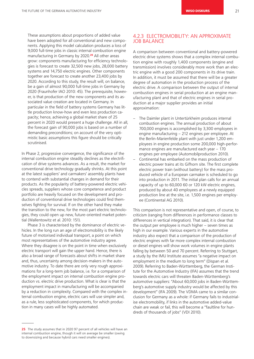These assumptions about proportions of added value have been adopted for all conventional and new components. Applying this model calculation produces a loss of 9,000 full-time jobs in classic internal combustion engine manufacturing in Germany by 2020.<sup>25</sup> All other areas grow: components manufacturing for efficiency technologies is forecast to create 32,500 new jobs, 28,000 battery systems and 14,750 electric engines. Other components together are forecast to create another 23,400 jobs by 2020. According to this study, the result will, on balance, be a gain of almost 90,000 full-time jobs in Germany by 2020 (Fraunhofer IAO 2010: 45). The prerequisite, however, is that production of the new components and its associated value creation are located in Germany. In particular in the field of battery systems Germany has little production know-how and even less production capacity; hence, achieving a global market share of 25 percent in 2020 would present a huge challenge. All in all, the forecast gain of 90,000 jobs is based on a number of demanding preconditions; on account of the very optimistic basic assumptions this figure should be critically scrutinised.

In Phase 2, progressive convergence, the significance of the internal combustion engine steadily declines as the electrification of drive systems advances. As a result, the market for conventional drive technology gradually shrinks. At this point at the latest suppliers' and carmakers' assembly plants have to contend with substantial changes in demand for their products. As the popularity of battery-powered electric vehicles spreads, suppliers whose core competence and product portfolio are heavily focused on the development and production of conventional drive technologies could find themselves fighting for survival. If on the other hand they make the transition to the new, for the most part electric technologies, they could open up new, future-oriented market potential (Wallentowitz et al. 2010: 151).

Phase 3 is characterised by the dominance of electric vehicles. In the long run an age of electromobility is the likely future of motorised individual transport, a point on which most representatives of the automotive industry agree. Where they disagree is on the point in time when exclusively electric transport will gain the upper hand. Hence, there is also a broad range of forecasts about shifts in market share and, thus, uncertainty among decision-makers in the automotive industry. To date there are only very rough approximations for a long-term job balance, i.e. for a comparison of the employment impact on internal combustion engine production vs. electric drive production. What is clear is that the employment impact in manufacturing will be accompanied by a reduction in complexity. Compared with the complex internal combustion engine, electric cars will use simpler and, as a rule, less sophisticated components, for which production in many cases will be highly automated.

A comparison between conventional and battery-powered electric drive systems shows that a complex internal combution engine with roughly 1,400 components (engine and transmission) involves considerably more work than an electric engine with a good 200 components in its drive train. In addition, it must be assumed that there will be a greater degree of automation in the production process of the electric drive. A comparison between the output of internal combustion engines in serial production at an engine manufacturing plant and that of electric engines in serial production at a major supplier provides an initial approximation:

- The Daimler plant in Untertürkheim produces internal combustion engines. The annual production of about 700,000 engines is accomplished by 3,300 employees in engine manufacturing – 212 engines per employee. At the Berlin-Marienfelde plant with just under 1,200 employees in engine production some 200,000 high-performance engines are manufactured each year – 170 engines per employee (Automobilproduction 2010).
- Continental has embarked on the mass production of electric power trains at its Gifhorn site. The first complete electric power train (without battery) for the mass produced vehicle of a European carmaker is scheduled to go into production in 2011. The initial plan calls for an annual capacity of up to 60,000 60 or 120 kW electric engines, produced by about 40 employees at a newly equipped production line at the site, i.e. 1,500 engines per employee (Continental AG 2010).

This comparison is not representative and open, of course, to criticism (ranging from differences in performance classes to differences in vertical integration). That said, it is clear that the output per employee is much higher – seven times as high in our example. Various experts in the automotive industry also expect that a comparison of the production of electric engines with far more complex internal combustion or diesel engines will show work volumes in engine plants falling by between 50 and 70 percent. Referring to Stuttgart, a study by the IMU Institute assumes "a negative impact on employment in the medium to long term" (Dispan et al. 2009). Referring to Baden-Württemberg, the German Institute for the Automotive Industry (IFA) assumes that the trend towards electric cars will threaten Baden-Württemberg's automotive suppliers: "About 60,000 jobs in Baden-Württemberg's automotive supply industry would be affected by this development" (IFA 2009). The VDMA came to a similar conclusion for Germany as a whole: if Germany fails to industrialise electromobility, if links in the automotive added-value chain are weak or fail, this will become a "faultline for hundreds of thousands of jobs" (VDI 2010).

<sup>4.2.3</sup>ELECTROMOBILITY: AN APPROXIMATE JOB BALANCE

**<sup>25</sup>** The study assumes that in 2020 97 percent of all vehicles will have an internal combustion engine, though it will on average be smaller (owing to downsizing and because hybrid cars need smaller engines).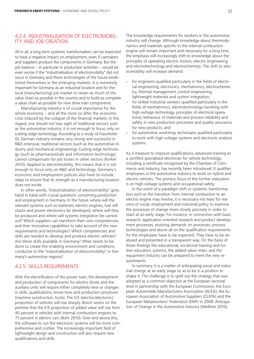## 4.2.4INDUSTRIALISATION OF ELECTROMOBIL-ITY AND JOB CREATION

All in all, a long-term systemic transformation can be expected to have a negative impact on employment, even if carmakers and suppliers produce the components in Germany. But the job balance – in particular in production activities – would be even worse if the "industrialisation of electromobility" did not occur in Germany and these technologies of the future established themselves in the emerging markets. It is extremely important for Germany as an industrial location and for the local (manufacturing) job market to retain as much of the value chain as possible in the country and to build as complete a value chain as possible for new drive train components.

Manufacturing industry is of crucial importance for the whole economy – and all the more so after the economic crisis induced by the collapse of the financial markets. In this regard, one should not lose sight of traditional sectors such as the automotive industry; it is not enough to focus only on cutting-edge technology. According to a study of Fraunhofer ISI, German industry remains very strong and successful in R&D-intensive, traditional sectors (such as the automotive industry and mechanical engineering). Cutting-edge technology (such as pharmaceuticals and information technology) cannot compensate for job losses in other sectors (Kinkel 2010). Applied to electromobility, this means that it is not enough to focus only on R&D and technology. Germany's economic and employment policies also have to include steps to ensure that its strength as a manufacturing location does not erode.

In other words, "industrialisation of electromobility" goes hand in hand with crucial questions concerning production and employment in Germany. In the future where will the relevant systems such as batteries, electric engines, fuel cell stacks and power electronics be developed, where will they be produced and where will systems integration be carried out? Which suppliers can transform their core competencies and their innovative capabilities to take account of the new requirements and technologies? Which competencies and skills are needed to develop and produce electric vehicles? Are these skills available in Germany? What needs to be done to create the enabling environment and conditions conducive to the "industrialisation of electromobility" in Germany's automotive regions?

## 4.2.5SKILLS REQUIREMENTS

With the electrification of the power train, the development and production of components for electric drives and the auxiliary units will require either completely new or changes in skills, qualifications, know-how and production processes (machine construction, tools). The E/E (electric/electronic) proportion of vehicles will rise sharply. Bosch works on the premise that the E/E proportion of added value will rise from 40 percent in vehicles with internal combustion engines to 75 percent in electric cars (Bohr 2010). Over and above this, the software to run the electronic systems will be more comprehensive and costlier. The increasingly important field of lightweight design and construction will also require new qualifications and skills.

The knowledge requirements for workers in the automotive industry will change. Although knowledge about thermodynamics and materials specific to the internal combustion engine will remain important and necessary for a long time, the emphasis will increasingly shift to knowledge about the principles of operating electric motors, electric engineering and electrotechnology and electrochemisty. The shift to electromobility will increase demand:

- for engineers qualified particularly in the fields of electrical engineering, electronics, mechatronics, electrochemistry, thermal management, control engineering, lightweight materials and system integration;
- for skilled industrial workers qualified particularly in the fields of mechatronics, electrotechnology (working with high-voltage technology, principles of electrical operations), behaviour of materials and process reliability and safety in new production processes and quality assurance for new products; and
- for automotive workshop technicians qualified particularly to work with high-voltage systems and electronic analysis systems.

As a measure to improve qualifications, advanced training as a certified specialised electrician for vehicle technology, including a certificate recognised by the Chamber of Commerce and Industry, has recently been introduced. It qualifies employees in the automotive industry to work on hybrid and electric vehicles. The primary focus of this further education is on high-voltage systems and occupational safety.

In the event of a paradigm shift or systemic transformation such as the transition from internal combustion to an electric engine may involve, it is necessary not least for reasons of social, employment and industrial policy to examine the processes of change more closely precisely in order to react at an early stage. For instance, in connection with basic research, application-oriented research and product development processes, evolving demands on processes, process technologies and above all on the qualification requirements for the employees have to be expected. They have to be analysed and presented in a transparent way. On the basis of these findings the educational, vocational training and further education systems, the added-value chain, and the equipment industry can be prepared to meet the new requirements.

In summary, it is a matter of anticipating social and industrial change at an early stage so as to be in a position to shape it. The challenge is to spell out the strategy that was adopted as a common objective at the European sectoral level in partnership with the European Commission, the European Automobile Manufacturers Association (ACEA), the European Association of Automotive Suppliers (CLEPA) and the European Metalworkers' Federation (EMF) in 2008: Anticipation of Change in the Automotive Industry (Meißner 2010).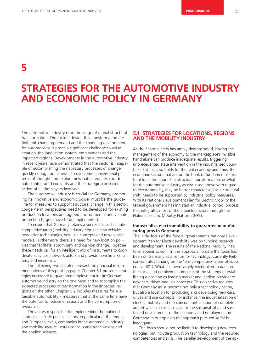**5**

## **STRATEGIES FOR THE AUTOMOTIVE INDUSTRY AND ECONOMIC POLICY IN GERMANY**

The automotive industry is on the verge of global structural transformation. The factors driving this transformation are finite oil, changing demand and the changing environment for automobility. It poses a significant challenge to value creation, the innovation system, employment and the impacted regions. Developments in the automotive industry in recent years have demonstrated that the sector is incapable of accomplishing the necessary processes of change quickly enough on its own. To overcome conventional patterns of thought and explore new paths requires coordinated, integrated concepts and the strategic, concerted action of all the players involved.

The automotive industry is crucial for Germany; promoting its innovative and economic power must be the guideline for measures to support structural change in this sector. Longer-term perspectives need to be developed for existing production locations and agreed environmental and climate protection targets have to be implemented.

To ensure that Germany retains a successful, sustainable competitive (auto-)mobility industry requires new vehicles, new drive technologies, new use concepts and new service models. Furthermore, there is a need for new location policies that facilitate, accompany and cushion change. Together these needs call for an intelligent mix of instruments to coordinate activities, network actors and provide benchmarks, criteria and incentives.

The following two chapters present the principal recommendations of this position paper. Chapter 5.1 presents strategies necessary to guarantee employment in the German automotive industry on the one hand and to accomplish the expected processes of transformation in the impacted regions on the other. Chapter 5.2 includes measures for sustainable automobility – measures that at the same time have the potential to reduce emissions and the consumption of resources.

The actors responsible for implementing the outlined strategies include political actors, in particular at the federal and European levels, companies in the automotive industry and mobility sectors, works councils and trade unions and the applied sciences.

## **5.1 STRATEGIES FOR LOCATIONS, REGIONS AND THE MOBILITY INDUSTRY**

As the financial crisis has amply demonstrated, leaving the management of the economy to the marketplace's invisible hand alone can produce inadequate results, triggering unprecedented state intervention in the industrialised countries. But this also holds for the real economy and, thus, the economic sectors that are on the brink of fundamental structural transformation. This structural transformation, or what for the automotive industry, as discussed above with regard to electromobility, may be better characterised as a structural shift, needs to be supported by industrial policy measures. With its National Development Plan for Electric Mobility the federal government has initiated an industrial control process that integrates most of the impacted actors through the National Electric Mobility Platform (NPE).

### **Industrialise electromobility to guarantee manufacturing jobs in Germany**

The initial focus of the federal government's National Development Plan for Electric Mobility was on funding research and development. The results of the National Mobility Platform appear to confirm this approach. To date the focus has been on Germany as a centre for technology. Currently R&D concentrates funding on the "pre-competitive" areas of cooperative R&D. What has been largely overlooked to date are the social and employment impacts of the strategy of establishing a position as leading market and leading provider of new cars, drives and use concepts. This objective requires that Germany must become not only a technology centre, but also a location for producing and developing new cars, drives and use concepts. For instance, the industrialisation of electric mobility and the concomitant creation of complete added-value chains is crucial for the sustainability and sustained development of the economy and employment in Germany. In our opinion the approach pursued so far is inadequate.

The focus should not be limited to developing new technologies, but include production technology and the required competencies and skills. The parallel development of the ap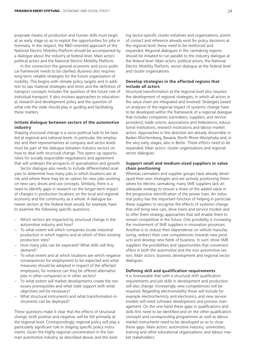propriate means of production and human skills must begin at an early stage so as to exploit the opportunities for jobs in Germany. In this respect, the R&D-oriented approach of the National Electric Mobility Platform should be accompanied by a dialogue about the industry at federal level. Main actors: political actors and the National Electric Mobility Platform.

In this connection the general economic and socio-political framework needs to be clarified. Business also requires long-term, reliable strategies for the future organization of mobility. This begins with climate policy targets and in addition to raw material strategies and limits and the definition of transport concepts includes the question of the future role of individual transport. It also involves approaches to educational, research and development policy and the question of what role the state should play in guiding and facilitating these matters.

### **Initiate dialogue between sectors of the automotive industry**

Shaping structural change is a socio-political task to be tackled at regional and national levels. In particular, the employees and their representatives at company and sector levels must be part of the dialogue between industry sectors on how to deal with structural change. This opens up opportunities for socially responsible negotiations and agreement that will underpin the prospects of specialisation and growth.

Sector dialogue also needs to include differentiated analyses to determine how many jobs in which locations are at risk and where there may be an option for new jobs working on new cars, drives and use concepts. Similarly, there is a need to identify gaps in research on the longer-term impact of changes in production locations on the local and regional economy and the community as a whole. A dialogue between sectors at the federal level would, for example, have to examine the following specific questions:

- Which sectors are impacted by structural change in the automotive industry and how?
- To what extent will which companies locate industrial production in which regions and at which of their existing production sites?
- How many jobs can be expected? What skills will they demand?
- To what extent and at which locations are which negative consequences for employment to be expected and what measures should be adopted in respect of the affected employees, for instance can they be offered alternative jobs in other companies or in other sectors?
- To what extent will market developments create the necessary prerequisites and what state support with what objectives will be necessary?
- What structural instruments and what transformation instruments can be deployed?

These questions make it clear that the effects of structural change, both positive and negative, will be felt primarily at the regional level. Correspondingly, regional policy will play a particularly significant role in shaping specific policy instruments. Given the highly regional concentration in the German automotive industry, as described above, and the existing sector-specific cluster initiatives and organisations, points of contact and reference already exist for policy decisions at the regional level; these need to be reinforced and expanded. Regional dialogues in the carmaking regions should be initiated to run parallel to the industry dialogue at the federal level. Main actors: political actors, the National Electric Mobility Platform, sector dialogue at the federal level and cluster organisations.

## **Develop strategies in the affected regions that include all actors**

Structural transformation at the regional level also requires the development of regional strategies, in which all actors in the value chain are integrated and involved. Strategies based on analyses of the regional impact of systemic change have to be developed within the framework of a regional dialogue that includes companies (carmakers, suppliers, and service providers), trade unions, associations and federations, educational institutions, research institutions and labour market actors. Approaches in this direction are already discernible in Baden-Württemberg, Bavaria, North Rhine-Westphalia and, in the very early stages, also in Berlin. These efforts need to be expanded. Main actors: cluster organisations and regional sector dialogues.

## **Support small and medium-sized suppliers in value chain positioning**

Whereas carmakers and supplier groups have already developed their own strategies and are actively positioning themselves for electric carmaking, many SME suppliers lack an adequate strategy to ensure a share of the added value in the progressive electrification of the power train. An industrial policy has the important function of helping in particular these suppliers to recognise the effects of systemic change that will bring new cars, drive trains and service models and to offer them strategy approaches that will enable them to remain competitive in the future. One possibility is increasing the involvement of SME suppliers in innovation processes. Another is to reduce their dependence on vehicle manufacturing, redirect their core competencies towards new products and develop new fields of business. In sum: show SME suppliers the possibilities and opportunities that conversion offers in both the automotive and the non-automotive sectors. Main actors: business development and regional sector dialogues.

### **Defining skill and qualification requirements**

It is foreseeable that with a structural shift qualification requirements and job skills in development and production will also change. Increasingly, new competencies will be required. Regarding electromobility these will include for example electrochemisty and electronics, and new service models will need software development and process management. On the one hand these gaps in qualifications and skills first need to be identified and on the other qualification concepts and corresponding programmes as well as labour market instruments need to be developed so as to close these gaps. Main actors: automotive industry; universities; training and other educational organisations; and labour market stakeholders.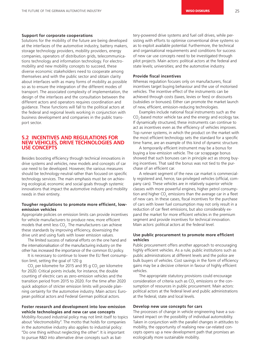### **Support for corporate cooperations**

Solutions for the mobility of the future are being developed at the interfaces of the automotive industry, battery makers, storage technology providers, mobility providers, energy companies, operators of distribution grids, telecommunications technology and information technology. For electromobility and new mobility concepts to succeed, these diverse economic stakeholders need to cooperate among themselves and with the public sector and obtain clarity about interfaces with as many forms of mobility as possible so as to ensure the integration of the different modes of transport. The associated complexity of implementation, the design of the interfaces and the consultation between the different actors and operators requires coordination and guidance. These functions will fall to the political actors at the federal and regional levels working in conjunction with business development and companies in the public transport sector.

## **5.2 INCENTIVES AND REGULATIONS FOR NEW VEHICLES, DRIVE TECHNOLOGIES AND USE CONCEPTS**

Besides boosting efficiency through technical innovations in drive systems and vehicles, new models and concepts of car use need to be developed. However, the various measures should be technology-neutral rather than focused on specific technology services. The main emphasis must be on achieving ecological, economic and social goals through systemic innovations that impact the automotive industry and mobility needs in their entirety.

### Tougher regulations to promote more efficient, low**emission vehicles**

Appropriate policies on emission limits can provide incentives for vehicle manufacturers to produce new, more efficient models that emit less CO<sub>2</sub>. The manufacturers can achieve these standards by improving efficiency, downsizing the drive unit and using fuels with lower emission values.

The limited success of national efforts on the one hand and the internationalisation of the manufacturing industry on the other has increased the importance of the common EU policy.

It is necessary to continue to lower the EU fleet consumption limit, setting the goal of 120 g

CO<sub>2</sub> per kilometre for 2015 and 95 g CO<sub>2</sub> per kilometre for 2020. Critical points include, for instance, the double counting of electric cars as zero-emission vehicles and the transition period from 2015 to 2020. For the time after 2020 quick adoption of stricter emission limits will provide planning certainty for the automotive industry. Main actors: European political actors and Federal German political actors.

## **Foster research and development into low-emission vehicle technologies and new car use concepts**

Mobility-focused industrial policy may not limit itself to topics about "electromobility". The motto that holds for companies in the automotive industry also applies to industrial policy: "Do one thing without neglecting the other". It is important to pursue R&D into alternative drive concepts such as battery-powered drive systems and fuel cell drives, while persisting with efforts to optimise conventional drive systems so as to exploit available potential. Furthermore, the technical and organisational requirements and conditions for success of new car use concepts need to be investigated through pilot projects. Main actors: political actors at the federal and state levels; universities; and the automotive industry.

### **Provide fiscal incentives**

Whereas regulation focuses only on manufacturers, fiscal incentives target buying behaviour and the use of motorised vehicles. The incentive effect of the instruments can be achieved through costs (taxes, levies or fees) or discounts (subsidies or bonuses). Either can promote the market launch of new, efficient, emission-reducing technologies.

Examples include national fiscal instruments such as the  $CO<sub>2</sub>$ -based motor vehicle tax and the energy and ecology tax. If dynamically structured, these instruments can continue to act as incentives even as the efficiency of vehicles improves. Top runner systems, in which the product on the market with the most efficient technology sets the standard for a specific time frame, are an example of this kind of dynamic structure.

A temporarily efficient instrument may be a bonus for buying a low-emission vehicle. The car scrappage bonus showed that such bonuses can in principle act as strong buying incentives. That said the bonus was not tied to the purchase of an efficient car.

A relevant segment of the new car market is commercially registered and, hence, tax-privileged vehicles (official, company cars). These vehicles are in relatively superior vehicle classes with more powerful engines, higher petrol consumption and higher CO<sub>2</sub> emissions than the average car in a fleet of new cars. In these cases, fiscal incentives for the purchase of cars with lower fuel consumption may not only result in a reduction of car fleet emissions, but also considerably expand the market for more efficient vehicles in the premium segment and provide incentives for technical innovation. Main actors: political actors at the federal level.

### Use public procurement to promote more efficient **vehicles**

Public procurement offers another approach to encouraging highly efficient vehicles. As a rule, public institutions such as public administrations at different levels and the police are bulk buyers of vehicles. Cost savings in the form of efficiency gains may be a decisive criterion in favour of highly efficient vehicles.

The appropriate statutory provisions could encourage consideration of criteria such as  $CO<sub>2</sub>$  emissions or the consumption of resources in public procurement. Main actors: political actors at the federal level and public administrations at the federal, state and local levels.

### **Develop new use concepts for cars**

The processes of change in vehicle engineering have a sustained impact on the possibility of individual automobility. Taken in conjunction with the parallel changes in attitudes to mobility, the opportunity of realising new car-related concepts opens up a new development path that promises an ecologically more sustainable mobility.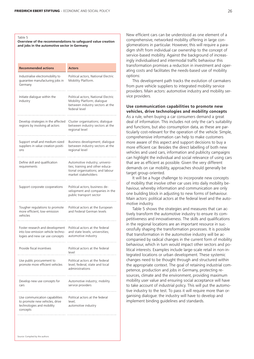#### Table 5

**Overview of the recommendations to safeguard value creation and jobs in the automotive sector in Germany**

| <b>Recommended actions</b>                                                                                | <b>Actors</b>                                                                                                                |
|-----------------------------------------------------------------------------------------------------------|------------------------------------------------------------------------------------------------------------------------------|
| Industrialise electromobility to<br>guarantee manufacturing jobs in<br>Germany                            | Political actors; National Electric<br>Mobility Platform.                                                                    |
| Initiate dialogue within the<br>industry                                                                  | Political actors; National Electric<br>Mobility Platform; dialogue<br>between industry sectors at the<br>federal level       |
| Develop strategies in the affected<br>regions by involving all actors                                     | Cluster organisations; dialogue<br>between industry sectors at the<br>regional level                                         |
| Support small and medium-sized<br>suppliers in value creation positi-<br>ons                              | Business development; dialogue<br>between industry sectors at the<br>regional level                                          |
| Define skill and qualification<br>requirements                                                            | Automotive industry; universi-<br>ties; training and other educa-<br>tional organisations; and labour<br>market stakeholders |
| Support corporate cooperations                                                                            | Political actors, business de-<br>velopment and companies in the<br>public transport sector                                  |
| Tougher regulations to promote<br>more efficient, low-emission<br>vehicles                                | Political actors at the European<br>and Federal German levels                                                                |
| Foster research and development<br>into low-emission vehicle techno-<br>logies and new car use concepts   | Political actors at the federal<br>and state levels; universities;<br>automotive industry                                    |
| Provide fiscal incentives                                                                                 | Political actors at the federal<br>level                                                                                     |
| Use public procurement to<br>promote more efficient vehicles                                              | Political actors at the federal<br>level; federal, state and local<br>administrations                                        |
| Develop new use concepts for<br>cars                                                                      | Automotive industry; mobility<br>service providers                                                                           |
| Use communication capabilities<br>to promote new vehicles, drive<br>technologies and mobility<br>concepts | Political actors at the federal<br>level;<br>automotive industry                                                             |

New efficient cars can be understood as one element of a comprehensive, networked mobility offering in large conglomerations in particular. However, this will require a paradigm shift from individual car ownership to the concept of service-based mobility. Against the background of increasingly individualised and intermodal traffic behaviour this transformation promises a reduction in investment and operating costs and facilitates the needs-based use of mobility options:

This development path tracks the evolution of carmakers from pure vehicle suppliers to integrated mobility service providers. Main actors: automotive industry and mobility service providers.

## **Use communication capabilities to promote new vehicles, drive technologies and mobility concepts**

As a rule, when buying a car consumers demand a great deal of information. This includes not only the car's suitability and functions, but also consumption data, as these are particularly cost-relevant for the operation of the vehicle. Simple, comprehensive information can help to make customers more aware of this aspect and support decisions to buy a more efficient car. Besides the direct labelling of both new vehicles and used cars, information and publicity campaigns can highlight the individual and social relevance of using cars that are as efficient as possible. Given the very different demands on car mobility, approaches should generally be target group-oriented.

It will be a huge challenge to incorporate new concepts of mobility that involve other car uses into daily mobility behaviour, whereby information and communication are only one building block in adjusting to new forms of behaviour. Main actors: political actors at the federal level and the automotive industry.

Table 5 shows the strategies and measures that can actively transform the automotive industry to ensure its competitiveness and innovativeness. The skills and qualifications in the regional locations are an important resource in successfully shaping the transformation processes. It is possible that transformation in the automotive industry will be accompanied by radical changes in the current form of mobility behaviour, which in turn would impact other sectors and political interests. Examples include large-scale retail in non-integrated locations or urban development. These systemic changes need to be thought through and structured within the appropriate context. The goal of retaining industrial competence, production and jobs in Germany, protecting resources, climate and the environment, providing maximum mobility user value and ensuring social acceptance will have to take account of industrial policy. This will put the automotive industry to the test. To pass it will require more than organising dialogue: the industry will have to develop and implement binding guidelines and standards.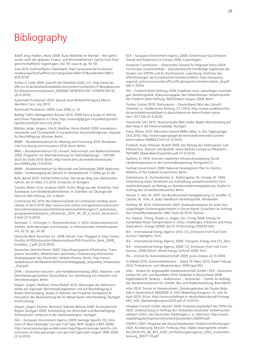## **Bibliography**

Adolf, Jörg; Huibers, Reno 2009: Auto-Mobilität im Wandel – Wie geht's weiter nach der globalen Finanz- und Wirtschaftskrise?, reprint from Energiewirtschaftliche Tagesfragen, Vol. 59, issue 8, pp. 54-58.

Aral 2010: Kraftstoffpreis-Datenbank, http://www.aral.de/toolserver/ retaileurope/histFuelPrice.do?categoryId=4001137&contentId=58611 (6.8.2010).

Arthur D. Little 2009: Zukunft der Mobilität 2020, o.O., http://aloe-iao. dfki.uni-kl.de/AloeMultimediaServlet/content?contentID=lY3Kauj&session ID=AloeAnonymousSession\_8050467387876551397-1279455793733 (25.9.2010).

Automobil Produktion 2010: special issue Motorenfertigung Mercedes-Benz Cars, July 2010.

Automobil Produktion 2006, June 2006, p. 10.

Beijing Traffic Management Bureau 2010: 2009 Sees a Surge of Vehicle and Driver Population in China, http://www.bjjtgl.gov.cn/publish/portal1/ tab165/info16307.htm (2.9.2010).

Blöcker, Antje; Jürgens, Ulrich; Meißner, Heinz-Rudolf 2009: Innovationsnetzwerke und Clusterpolitik in europäischen Automobilregionen. Impulse für Beschäftigung, Münster, Berlin.

BMBF – Bundesministerium für Bildung und Forschung 2010: Bundesbericht Forschung und Innovation 2010, Bonn, Berlin.

BMU – Bundesministerium für Umwelt, Naturschutz und Reaktorsicherheit 2009: Programm zur Marktaktivierung für Elektrofahrzeuge – 100.000 Stück bis Ende 2014, Berlin, http://www.bmu.de/verkehr/downloads/ doc/44962.php (7.9.2010).

BMWi – Bundesministerium für Wirtschaft und Technologie 2009: Elektromobilität – Fortbewegung der Zukunft, in: Monatsbericht 11-2009, pp. 21-26.

Bohr, Bernd 2010: Vielfalt beherrschen: Der lange Weg zum elektrischen Fahren, set of slides 3.5.2010, University of Stuttgart.

Canzler, Weert; Knie, Andreas 2009: Grüne Wege aus der Autokrise. Vom Autobauer zum Mobilitätsdienstleister, in: Schriften zur Ökologie der Heinrich-Böll-Stiftung, Vol. 4, Berlin.

Continental AG 2010: Bei Elektromobilität ist Continental startklar, press release of 30.4.2010, http://www.conti-online.com/generator/www/com/ de/continental/presseportal/themen/pressemitteilungen/3\_automotive\_ group/powertrain/press\_releases/pr\_2010\_04\_30\_e\_motor\_de,version= 2.html (21.9.2010).

Dennisen, T.; Kritzinger, S.; Rommerskirchen, S. 2010: Infrastrukturbericht Verkehr: Anforderungen und Konzept, in: Internationales Verkehrswesen, Vol. 62 (3), pp. 24-28.

Deutsche Bank Securities Inc. 2008: Electric Cars: Plugged In, http://www. ifu.ethz.ch/ESD/education/Masterstudium/PEA/Deutsche\_Bank\_2008\_ Emobility\_2.pdf (25.9.2010).

Deutsches Verkehrsforum 2009: Zukunftsprogramm Infrastruktur. Transparenz herstellen, Mitteleinsatz optimieren, Finanzierung reformieren. Strategiepapier des Deutschen Verkehrsforums, Berlin, http://www. verkehrsforum.de/fileadmin/dvf/Home/Strategiepap\_Eckpunkte\_Infrastruktur \_final.pdf.

DIHK – Deutscher Industrie- und Handelskammertag 2002: Industrie- und Dienstleistungsstandort Deutschland. Zur Vernetzung von Industrie und Dienstleistungen, Berlin.

Dispan, Jürgen; Meißner, Heinz-Rudolf 2010: Wirkungen der Elektromobilität auf regionale Wertschöpfungsketten und auf Beschäftigung in Baden-Württemberg, Studie im Rahmen des Projektes kompetenz & innovation der Bezirksleitung der IG Metall Baden-Württemberg, Stuttgart (forthcoming).

Dispan, Jürgen; Krumm, Raimund; Seibold, Bettina 2009: Strukturbericht Region Stuttgart 2009. Entwicklung von Wirtschaft und Beschäftigung. Schwerpunkt: Umbruch in der Automobilregion, Stuttgart.

EEA – European Environment Agency 2009: Average Specific CO<sub>2</sub> Emissions of New Passenger Cars per Fuel Type, With Targets (1995-2006), http://www.eea.europa.eu/data-and-maps/figures/average-specific-co2 emissions-of-new-passenger-cars-per-fuel-type-with-targets-1995-2006 (21.9.2010).

EEA – European Environment Agency 2006: Greenhouse Gas Emission Trends and Projections in Europe 2006, Copenhagen.

European Commission – Directorate-General for Regional Policy 2004: Territorialer Zusammenhalt – Zwischenbericht (Vorläufige Ergebnisse der Studien von ESPON und EU-Kommission). Luxemburg: Amtliche Veröffentlichungen der Europäischen Gemeinschaften, http://europa.eu. regional\_policy/sources/docoffic/official/reports/coheter/coheter\_de.pdf (08.11.2004).

FES – Friedrich-Ebert-Stiftung 2009: Eckpfeiler einer zukünftigen nachhaltigen Verkehrspolitik. Diskussionspapier des Arbeitskreises Verkehrspolitik der Friedrich-Ebert-Stiftung. WISODiskurs August 2009, Bonn.

Fischer, Günter 2010: Elektroautos – Deutschland fährt der Zukunft hinterher, in: Süddeutsche Zeitung, 21.7.2010, http://www.sueddeutsche. de/auto/elektromobilitaet-in-deutschland-wo-keine-funken-spruehen-1.977726 (21.9.2010).

Fraunhofer IAO 2010: Strukturstudie BWe-mobil. Baden-Württemberg auf dem Weg in die Elektromobilität, Stuttgart.

Frese, Alfons 2010: Mercedes kommt BMW näher, in: Der Tagesspiegel, 24.6.2010, http://www.tagesspiegel.de/wirtschaft/mercedes-kommtbmw-naeher/1868822.html (21.9.2010).

Friedrich, Axel; Petersen, Rudolf 2009: Der Beitrag des Elektroautos zum Klimaschutz. Wunsch und Realität, www.dielinke-europa.eu/fileadmin/ PDF/MEP\_Materialien/Gutachten.pdf (21.9.2010).

Garlichs, D. 1970: Grenzen staatlicher Infrastrukturplanung. Bund/ Länderkooperation in der Fernstraßenplanung, Königstein/Ts.

German Government 2009: National Development Plan for Electric Mobility of the Federal Government, Berlin.

Gühnemann, A.; Kuchenbecker, K.; Rothengatter, W.; Schade, W. 1999: Entwicklung eines Verfahrens zur Aufstellung umweltorientierter Fernverkehrskonzepte als Beitrag zur Bundesverkehrswegeplanung. Studie im Auftrag des Umweltbundesamtes, Berlin.

Heuser, T.; Reh, W. 2007: Die Bundesverkehrswegeplanung, in: Schöller, O.; Canzler, W.; Knie, A. (eds): Handbuch Verkehrspolitik, Wiesbaden.

Holzhey, M. 2010: Schienennetz 2025. Ausbaukonzeption für einen leistungsfähigen Schienengüterverkehr in Deutschland. Gutachten im Auftrag des Umweltbundesamtes. UBA-Texte 42/2010, Dessau.

Hu, Xiaojun; Chang, Shiyan; Li, Jingjie; Qin, Yining 2009: Energy for Sustainable Road Transportation in China: Challenges, Initiatives and Policy Implications, Energy (2009), doi:10.1016/j.energy.2009.05.024.

IEA - International Energy Agency 2010: CO<sub>2</sub> Emissions from Fuel Combustion: Highlights, Paris.

IEA – International Energy Agency 2009: Transport, Energy and CO<sub>2</sub>, Paris

IEA – International Energy Agency 2008: CO<sub>2</sub> Emissions from Fuel Combustion, 2008 Edition, World Energy Outlook 2008, Paris.

IFA – Institut für Automobilwirtschaft 2009: press release 22.10.2009.

IG Metall 2010: Automobilindustrie – Stand 19. März 2010, Daten Februar 2010, Produktions- und Absatzstruktur 2009 (ppt file).

Infas – Institut für angewandte Sozialwissenschaft GmbH / DLR - Deutsches Institut für Luft- und Raumfahrt 2010: Mobilität in Deutschland 2008. Ergebnisbericht. Struktur – Aufkommen – Emissionen – Trends. Im Auftrag des Bundesministerium für Verkehr, Bau und Stadtentwicklung, Bonn/Berlin.

Infas 2010: Trends im Verkehrsmarkt. Detailergebnisse der Studie Mobilität in Deutschland. MiD2008. 4. VDV-Marketing-Kongress, 15. und 16. April 2010, Erfurt, http://www.mobilitaet-in-deutschland.de/pdf/Vortrag MiD\_VDV\_Marketingkongress2010.pdf (21.9.2010).

Intraplan Consult GmbH, Munich 2009: Finanzierungsbedarf des ÖPNV bis 2025. Untersuchung im Auftrag des Verbandes Deutscher Verkehrsunternehmen (VDV), des Deutschen Städtetages u. a., München, http://www. staedtetag.de/imperia/md/content/pressedien/2009/9.pdf

ITB/BVU 2007: Prognose der deutschlandweiten Verkehrsverflechtungen 2025. Kurzfassung. Munich, Freiburg, http://daten.clearingstelle-verkehr. de/220/01/FE\_96\_857\_2005\_Verflechtungsprognose\_2025\_Zusammenfassung\_20071114.pdf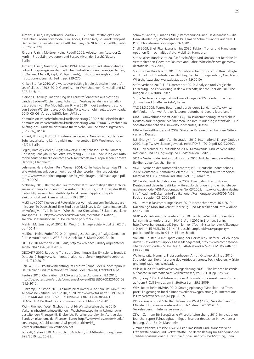Jürgens, Ulrich; Krzywdzinski, Martin 2006: Zur Zukunftsfähigkeit des deutschen Produktionsmodells. in: Kocka, Jürgen (ed.): Zukunftsfähigkeit Deutschlands. Sozialwissenschaftliche Essays, WZB Jahrbuch 2006, Berlin, pp. 203 – 228.

Jürgens, Ulrich; Meißner, Heinz-Rudolf 2005: Arbeiten am Auto der Zukunft – Produktinnovationen und Perspektiven der Beschäftigten, Berlin.

Jürgens, Ulrich; Naschold, Frieder 1994: Arbeits- und industriepolitische Entwicklungsengpässe der deutschen Industrie in den neunziger Jahren, in: Dierkes, Meinolf; Zapf, Wolfgang (eds), Institutionenvergleich und Institutionendynamik, Berlin, pp. 239-270.

Kinkel, Steffen 2010: Wie wettbewerbsfähig ist die deutsche Industrie?, set of slides of 29.6.2010. Gemeinsamer Workshop von IG Metall und IG BCE, Bochum.

Klaiber, G. (2010): Finanzierung des Fernstraßennetzes aus Sicht des Landes Baden-Württemberg. Folien zum Vortrag bei den Wirtschaftsgesprächen von Pro Mobilität am 6. Mai 2010 in der Landesvertretung von Baden-Württemberg, o. O., http://www.promobilitaet.de/downloads/ 2010-05-06\_Vortrag%20Klaiber\_UVM.pdf

Kommission Verkehrsinfrastrukturfinanzierung 2000: Schlussbericht der Kommission Verkehrsinfrastrukturfinanzierung vom 9.2000. Gutachten im Auftrag des Bundesministeriums für Verkehr, Bau und Wohnungswesen (BMVBW), Berlin.

Kunert, U.; Link, H. 2001: Bundesverkehrswege: Neubau auf Kosten der Substanzerhaltung künftig nicht mehr vertretbar. DIW-Wochenbericht 42/01, Berlin.

Legler, Harald; Gehrke, Birgit; Krawczyk, Olaf; Schasse, Ulrich; Rammer, Christian; Leheyda, Nina; Sofka, Wolfgang 2009: Die Bedeutung der Automobilindustrie für die deutsche Volkswirtschaft im europäischen Kontext, Hanover, Mannheim.

Luhmann, Hans-Jochen; Reh, Werner 2004: Kühle Autos heizen das Klima. Wie Autoklimaanlagen umweltfreundlicher werden können, Leipzig, http://www.wupperinst.org/uploads/tx\_wibeitrag/autoklimaanlagen.pdf (22.9.2009).

McKinsey 2010: Beitrag der Elektromobilität zu langfristigen Klimaschutzzielen und Implikationen für die Automobilindustrie, im Auftrag des BMU, Berlin, http://www.bmu.de/files/pdfs/allgemein/application/pdf/ elektromobilitaet\_klimaschutz.pdf (10.8.2010).

McKinsey 2007: Kosten und Potenziale der Vermeidung von Treibhausgasemissionen in Deutschland. Eine Studie von McKinsey & Company, Inc., erstellt im Auftrag von "VDI initiativ – Wirtschaft für Klimaschutz". Sektorperspektive Transport. O. O., http://www.bdi.eu/download\_content/Publikation\_ Treibhausgasemissionen\_in\_Deutschland.pdf (21.9.2010).

Mehlin, M.; Zimmer, W. 2010: Ein Weg für klimagerechte Mobilität, 62 (4), pp. 106-114.

Meißner, Heinz-Rudolf 2010: Dringend gesucht: Längerfristige Szenarien für die Autoindustrie. WZB-Brief Arbeit No. 6, March 2010, Berlin.

OECD 2010 Factbook 2010. Paris, http://www.oecd-ilibrary.org/content/ serial/18147364 (20.9.2010).

OECD/ITF 2010: Reducing Transport Greenhouse Gas Emissions: Trends & Data 2010, http://www.internationaltransportforum.org/Pub/resreports. html (21.9.2010).

Reh, W. 1988: Politikverflechtung im Fernstraßenbau der Bundesrepublik Deutschland und im Nationalstraßenbau der Schweiz, Frankfurt a. M.

Reuters 2010: China überholt USA als größter Automarkt, 8.1.2010, http://de.reuters.com/article/companiesNews/idDEBEE6070D320100108 (21.9.2010).

Ruhkamp, Christoph 2010: Es muss nicht immer Auto sein, in: Frankfurter Allgemeine Zeitung, 12.05.2010, p. 20, http://www.faz.net/s/RubD16E1F 55D21144C4AE3F9DDF52B6E1D9/Doc~E3D0284A9AD8544FFBC DEA62CAC415216~ATpl~Ecommon~Scontent.html (22.9.2010).

RWI – Rheinisch-Westfälisches Institut für Wirtschaftsforschung 2010: Verkehrsinfrastrukturinvestitionen – Wachstumsaspekte im Rahmen einer gestaltenden Finanzpolitik. Endbericht. Forschungsprojekt im Auftrag des Bundesministeriums der Finanzen, Essen, http://www.rwi-essen.de/media/ content/pages/publikationen/rwi-projektberichte/PB\_ Verkehrsinfrastrukturinvestitionen.pdf

Scheytt, Stefan 2010: Aufbruch im Autoland, in: Mitbestimmung, issue 7+8/2010, pp. 20-23.

Schmidt-Sandte, Tilmann (2010): Verbrennungs- und Elektroantrieb – die Herausforderung, Vortragsfolien Dr. Tilmann Schmidt-Sandte auf dem 3. Produktionsforum Göppingen, 26.4.2010.

Shell 2009: Shell Pkw-Szenarien bis 2030: Fakten, Trends und Handlungsoptionen für nachhaltige Auto-Mobilität, Hamburg.

Statistisches Bundesamt 2010a: Beschäftigte und Umsatz der Betriebe im Verarbeitenden Gewerbe: Deutschland, Jahre, Wirtschaftszweige, www. destatis.de (25.7.2010).

Statistisches Bundesamt 2010b: Sozialversicherungspflichtig Beschäftigte am Arbeitsort: Bundesländer, Stichtag, Beschäftigungsumfang, Geschlecht, Wirtschaftszweige, www.destatis.de (11.9.2010).

Stifterverband 2010: FuE-Datenreport 2010, Analysen und Vergleiche Forschung und Entwicklung in der Wirtschaft; Bericht über die FuE-Erhebungen 2007/2008, Essen.

SRU – Sachverständigenrat für Umweltfragen 2005: Sondergutachten "Umwelt und Straßenverkehr", Berlin.

TAZ 23.3.2009: Teures Betonband durch leeres Land. http://www.taz. de/1/zukunft/umwelt/artikel/1/teures-betonband-durchs-leere-land/

UBA – Umweltbundesamt 2010: CO<sub>2</sub>-Emissionsminderung im Verkehr in Deutschland: Mögliche Maßnahmen und ihre Minderungspotenziale – Ein Sachstandsbericht des Umweltbundesamtes, Dessau.

UBA – Umweltbundesamt 2009: Strategie für einen nachhaltigen Güterverkehr, Dessau.

U.S. Energy Information Administration 2010: International Energy Outlook 2010, http://www.eia.doe.gov/oiaf/ieo/pdf/0484(2010).pdf (22.9.2010).

VCD – Verkehrsclub Deutschland 2007: Klimawandel und Verkehr. Informationen und Lösungswege. VCD-Materialien, Berlin.

VDA – Verband der Automobilindustrie 2010: Nutzfahrzeuge – effizient, flexibel, zukunftssicher, Berlin

VDA – Verband der Automobilindustrie; IKB – Deutsche Industriebank 2007: Deutsche Automobilzulieferer 2018: Unverändert mittelständisch. Materialien zur Automobilindustrie, Vol. 39, Frankfurt.

VDB – Verband der Bahnindustrie 2009: Eisenbahninfrastruktur in Deutschland dauerhaft stärken – Herausforderungen für die nächste Legislaturperiode. VDB-Positionspapier No. 03/2009. http://www.bahnindustrie. info/fileadmin/Dokumente/Publikationen/Positionspapiere/90309\_VDB\_ Positionspapier\_03\_2009.pdf

VDI – Verein Deutscher Ingenieure 2010: Nachrichten vom 16.4.2010: Nachhaltige Mobilität vereint Fahrzeug- und Maschinenbau, http://vdi.de (20.7.2010).

VMK – Verkehrsministerkonferenz 2010: Beschluss-Sammlung der Verkehrsministerkonferenz am 14./15. April 2010 in Bremen, Berlin. http://www.bundesrat.de/DE/gremien-konf/fachminister-konf/vmk/Sitzungen /10-04-14-15-VMK/10-04-14-15-beschl,templateId=raw,property= publicationFile.pdf/10-04-14-15-beschl.pdf

Vollrath, Carsten 2002: Optimierung der Hersteller-Zulieferer-Beziehungen durch "Networked" Supply Chain Management, http://www.competencesite.de/downloads/92/3b/i\_file\_10346/Networked%20SCM\_Vollrath.pdf (30.7.2010).

Wallentowitz, Henning; Freialdenhoven, Arndt; Olschewski, Ingo 2010: Strategien zur Elektrifizierung des Antriebsstranges. Technologien, Märkte und Implikationen, Wiesbaden.

Willeke, R. 2003: Bundesverkehrswegeplanung 2003 – Eine kritische Bestandsaufnahme, in: Internationales Verkehrswesen, Vol. 55 (11), pp. 525-528.

Wind, Jörg 2009: Elektrifizierung des Automobils, Foliensatz zum Vortrag auf dem F-Cell Symposium in Stuttgart am 29.9.2009.

Wiss. Beirat beim BMVBS 2010: Strategieplanung "Mobilität und Transport": Folgerungen für die Bundesverkehrswegeplanung, in: Internationales Verkehrswesen, 62 (4), pp. 20-29.

WSD – Wasser- und Schifffahrtsdirektion West (2009): Verkehrsbericht, Münster. http://www.wsd-west.wsv.de/dateien/2010/426\_10\_ Verkehrsbericht\_Internetversion.pdf

ZEW – Zentrum für Europäische Wirtschaftsforschung 2010: Innovationen Branchenreport Fahrzeugbau – Ergebnisse der deutschen Innovationserhebung, Vol. 17 (10), Mannheim.

Zimmer, Wiebke; Fritsche, Uwe 2008: Klimaschutz und Straßenverkehr: Effizienzsteigerung und Biokraftstoffe und deren Beitrag zur Minderung der Treibhausgasmissionen. Kurzstudie für die Friedrich-Ebert-Stiftung, Bonn.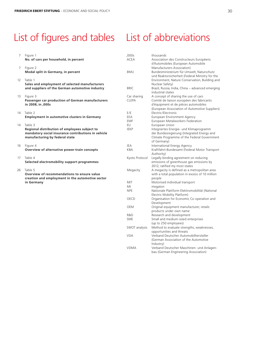## List of figures and tables List of abbreviations

| $\overline{7}$ | Figure 1                                            | ,000s             | thousands                                                                     |
|----------------|-----------------------------------------------------|-------------------|-------------------------------------------------------------------------------|
|                | No. of cars per household, in percent               | <b>ACEA</b>       | Association des Constructeurs Européens<br>d'Automobiles (European Automobile |
| 7              | Figure 2<br>Modal split in Germany, in percent      | <b>BMU</b>        | Manufacturers Association)<br>Bundesministerium für Umwelt, Naturschutz       |
|                |                                                     |                   | und Reaktorsicherheit (Federal Ministry for the                               |
| 12             | Table 1                                             |                   | Environment, Nature Conservation, Building and                                |
|                | Sales and employment of selected manufacturers      |                   | Nuclear Safety)                                                               |
|                | and suppliers of the German automotive industry     | <b>BRIC</b>       | Brazil, Russia, India, China - advanced emerging                              |
|                |                                                     |                   | industrial states                                                             |
| 13             | Figure 3                                            | Car sharing       | A concept of sharing the use of cars                                          |
|                | Passenger car production of German manufacturers    | <b>CLEPA</b>      | Comité de liaison européen des fabricants                                     |
|                | in 2008, in ,000s                                   |                   | d'équipment et de pièces automobiles                                          |
|                |                                                     |                   | (European Association of Automotive Suppliers)                                |
| 14             | Table 2                                             | E/E               | Electric/Electronic                                                           |
|                | <b>Employment in automotive clusters in Germany</b> | EEA<br><b>EMF</b> | European Environment Agency                                                   |
| 14             | Table 3                                             | EU                | European Metalworkers Federation<br>European Union                            |
|                | Regional distribution of employees subject to       | <b>IEKP</b>       | Integriertes Energie- und Klimaprogramm                                       |
|                | mandatory social insurance contributions in vehicle |                   | der Bundesregierung (Integrated Energy and                                    |
|                | manufacturing by federal state                      |                   | Climate Programme of the Federal Government                                   |
|                |                                                     |                   | of Germany)                                                                   |
| 16             | Figure 4                                            | <b>IEA</b>        | International Energy Agency                                                   |
|                | Overview of alternative power-train concepts        | <b>KBA</b>        | Kraftfahrt-Bundesamt (Federal Motor Transport                                 |
|                |                                                     |                   | Authority)                                                                    |
| 17             | Table 4                                             | Kyoto Protocol    | Legally binding agreement on reducing                                         |
|                | Selected electromobility support programmes         |                   | emissions of greenhouse gas emissions by                                      |
|                |                                                     |                   | 2012; ratified my most states                                                 |
| 26             | Table 5                                             | Megacity          | A megacity is defined as a metropolitan area                                  |
|                | Overview of recommendations to ensure value         |                   | with a total population in excess of 10 million                               |
|                | creation and employment in the automotive sector    |                   | people                                                                        |
|                | in Germany                                          | MIT               | Motorised individual transport                                                |
|                |                                                     | Mt<br><b>NPE</b>  | megaton                                                                       |
|                |                                                     |                   | Nationale Plattform Elektromobilität (National<br>Electric Mobility Platform) |
|                |                                                     | OECD              | Organisation for Economic Co-operation and                                    |
|                |                                                     |                   | Development                                                                   |
|                |                                                     | <b>OEM</b>        | Original equipment manufacturer; retails                                      |
|                |                                                     |                   | products under own name                                                       |
|                |                                                     | R&D<br><b>SME</b> | Research and development<br>Small and medium-sized enterprises                |
|                |                                                     |                   | (up to 250 employees)                                                         |
|                |                                                     | SWOT analysis     | Method to evaluate strengths, weaknesses,                                     |
|                |                                                     |                   | opportunities and threats                                                     |
|                |                                                     | <b>VDA</b>        | Verband Deutscher Automobilhersteller                                         |
|                |                                                     |                   |                                                                               |

Verband Deutscher Automobilhersteller (German Association of the Automotive

Verband Deutscher Maschinen- und Anlagenbau (German Engineering Association)

Industry)<br>
VDMA Verband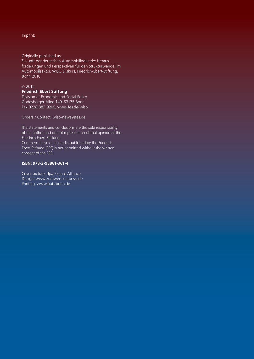Imprint:

Originally published as:

Zukunft der deutschen Automobilindustrie: Herausforderungen und Perspektiven für den Strukturwandel im Automobilsektor, WISO Diskurs, Friedrich-Ebert-Stiftung, Bonn 2010.

### © 2015

## **Friedrich Ebert Stiftung**

Division of Economic and Social Policy Godesberger Allee 149, 53175 Bonn Fax 0228 883 9205, www.fes.de/wiso

Orders / Contact: wiso-news@fes.de

The statements and conclusions are the sole responsibility of the author and do not represent an official opinion of the Friedrich Ebert Stiftung. Commercial use of all media published by the Friedrich Ebert Stiftung (FES) is not permitted without the written consent of the FES.

## **ISBN: 978-3-95861-361-4**

Cover picture: dpa Picture Alliance Design: www.zumweissenroessl.de Printing: www.bub-bonn.de